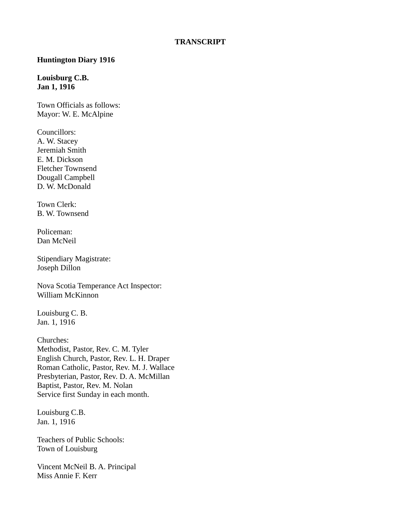#### **Huntington Diary 1916**

#### **Louisburg C.B. Jan 1, 1916**

Town Officials as follows: Mayor: W. E. McAlpine

Councillors: A. W. Stacey Jeremiah Smith E. M. Dickson Fletcher Townsend Dougall Campbell D. W. McDonald

Town Clerk: B. W. Townsend

Policeman: Dan McNeil

Stipendiary Magistrate: Joseph Dillon

Nova Scotia Temperance Act Inspector: William McKinnon

Louisburg C. B. Jan. 1, 1916

Churches: Methodist, Pastor, Rev. C. M. Tyler English Church, Pastor, Rev. L. H. Draper Roman Catholic, Pastor, Rev. M. J. Wallace Presbyterian, Pastor, Rev. D. A. McMillan Baptist, Pastor, Rev. M. Nolan Service first Sunday in each month.

Louisburg C.B. Jan. 1, 1916

Teachers of Public Schools: Town of Louisburg

Vincent McNeil B. A. Principal Miss Annie F. Kerr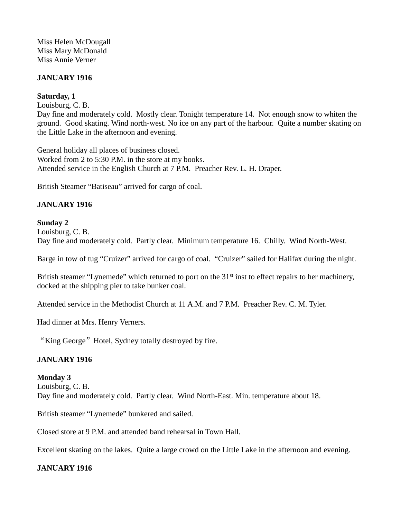Miss Helen McDougall Miss Mary McDonald Miss Annie Verner

#### **JANUARY 1916**

### **Saturday, 1**

Louisburg, C. B.

Day fine and moderately cold. Mostly clear. Tonight temperature 14. Not enough snow to whiten the ground. Good skating. Wind north-west. No ice on any part of the harbour. Quite a number skating on the Little Lake in the afternoon and evening.

General holiday all places of business closed. Worked from 2 to 5:30 P.M. in the store at my books. Attended service in the English Church at 7 P.M. Preacher Rev. L. H. Draper.

British Steamer "Batiseau" arrived for cargo of coal.

#### **JANUARY 1916**

#### **Sunday 2**

Louisburg, C. B. Day fine and moderately cold. Partly clear. Minimum temperature 16. Chilly. Wind North-West.

Barge in tow of tug "Cruizer" arrived for cargo of coal. "Cruizer" sailed for Halifax during the night.

British steamer "Lynemede" which returned to port on the 31<sup>st</sup> inst to effect repairs to her machinery, docked at the shipping pier to take bunker coal.

Attended service in the Methodist Church at 11 A.M. and 7 P.M. Preacher Rev. C. M. Tyler.

Had dinner at Mrs. Henry Verners.

"King George" Hotel, Sydney totally destroyed by fire.

#### **JANUARY 1916**

#### **Monday 3**

Louisburg, C. B. Day fine and moderately cold. Partly clear. Wind North-East. Min. temperature about 18.

British steamer "Lynemede" bunkered and sailed.

Closed store at 9 P.M. and attended band rehearsal in Town Hall.

Excellent skating on the lakes. Quite a large crowd on the Little Lake in the afternoon and evening.

#### **JANUARY 1916**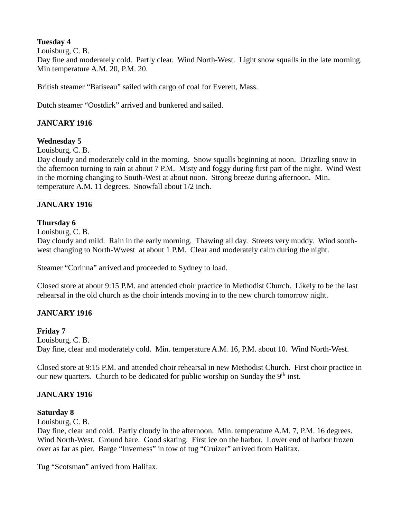# **Tuesday 4**

Louisburg, C. B.

Day fine and moderately cold. Partly clear. Wind North-West. Light snow squalls in the late morning. Min temperature A.M. 20, P.M. 20.

British steamer "Batiseau" sailed with cargo of coal for Everett, Mass.

Dutch steamer "Oostdirk" arrived and bunkered and sailed.

## **JANUARY 1916**

### **Wednesday 5**

Louisburg, C. B.

Day cloudy and moderately cold in the morning. Snow squalls beginning at noon. Drizzling snow in the afternoon turning to rain at about 7 P.M. Misty and foggy during first part of the night. Wind West in the morning changing to South-West at about noon. Strong breeze during afternoon. Min. temperature A.M. 11 degrees. Snowfall about 1/2 inch.

# **JANUARY 1916**

### **Thursday 6**

Louisburg, C. B.

Day cloudy and mild. Rain in the early morning. Thawing all day. Streets very muddy. Wind southwest changing to North-Wwest at about 1 P.M. Clear and moderately calm during the night.

Steamer "Corinna" arrived and proceeded to Sydney to load.

Closed store at about 9:15 P.M. and attended choir practice in Methodist Church. Likely to be the last rehearsal in the old church as the choir intends moving in to the new church tomorrow night.

### **JANUARY 1916**

### **Friday 7**

Louisburg, C. B. Day fine, clear and moderately cold. Min. temperature A.M. 16, P.M. about 10. Wind North-West.

Closed store at 9:15 P.M. and attended choir rehearsal in new Methodist Church. First choir practice in our new quarters. Church to be dedicated for public worship on Sunday the 9<sup>th</sup> inst.

### **JANUARY 1916**

### **Saturday 8**

Louisburg, C. B.

Day fine, clear and cold. Partly cloudy in the afternoon. Min. temperature A.M. 7, P.M. 16 degrees. Wind North-West. Ground bare. Good skating. First ice on the harbor. Lower end of harbor frozen over as far as pier. Barge "Inverness" in tow of tug "Cruizer" arrived from Halifax.

Tug "Scotsman" arrived from Halifax.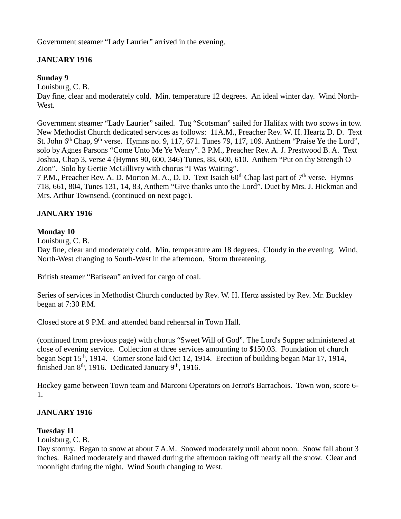Government steamer "Lady Laurier" arrived in the evening.

# **JANUARY 1916**

### **Sunday 9**

Louisburg, C. B.

Day fine, clear and moderately cold. Min. temperature 12 degrees. An ideal winter day. Wind North-West.

Government steamer "Lady Laurier" sailed. Tug "Scotsman" sailed for Halifax with two scows in tow. New Methodist Church dedicated services as follows: 11A.M., Preacher Rev. W. H. Heartz D. D. Text St. John  $6<sup>th</sup> Chap, 9<sup>th</sup> verse. Hymns no. 9, 117, 671. Tunes 79, 117, 109. Anthem "Praise Ye the Lord",$ solo by Agnes Parsons "Come Unto Me Ye Weary". 3 P.M., Preacher Rev. A. J. Prestwood B. A. Text Joshua, Chap 3, verse 4 (Hymns 90, 600, 346) Tunes, 88, 600, 610. Anthem "Put on thy Strength O Zion". Solo by Gertie McGillivry with chorus "I Was Waiting".

7 P.M., Preacher Rev. A. D. Morton M. A., D. D. Text Isaiah  $60<sup>th</sup>$  Chap last part of  $7<sup>th</sup>$  verse. Hymns 718, 661, 804, Tunes 131, 14, 83, Anthem "Give thanks unto the Lord". Duet by Mrs. J. Hickman and Mrs. Arthur Townsend. (continued on next page).

### **JANUARY 1916**

### **Monday 10**

Louisburg, C. B.

Day fine, clear and moderately cold. Min. temperature am 18 degrees. Cloudy in the evening. Wind, North-West changing to South-West in the afternoon. Storm threatening.

British steamer "Batiseau" arrived for cargo of coal.

Series of services in Methodist Church conducted by Rev. W. H. Hertz assisted by Rev. Mr. Buckley began at 7:30 P.M.

Closed store at 9 P.M. and attended band rehearsal in Town Hall.

(continued from previous page) with chorus "Sweet Will of God". The Lord's Supper administered at close of evening service. Collection at three services amounting to \$150.03. Foundation of church began Sept 15<sup>th</sup>, 1914. Corner stone laid Oct 12, 1914. Erection of building began Mar 17, 1914, finished Jan  $8<sup>th</sup>$ , 1916. Dedicated January  $9<sup>th</sup>$ , 1916.

Hockey game between Town team and Marconi Operators on Jerrot's Barrachois. Town won, score 6- 1.

### **JANUARY 1916**

### **Tuesday 11**

Louisburg, C. B.

Day stormy. Began to snow at about 7 A.M. Snowed moderately until about noon. Snow fall about 3 inches. Rained moderately and thawed during the afternoon taking off nearly all the snow. Clear and moonlight during the night. Wind South changing to West.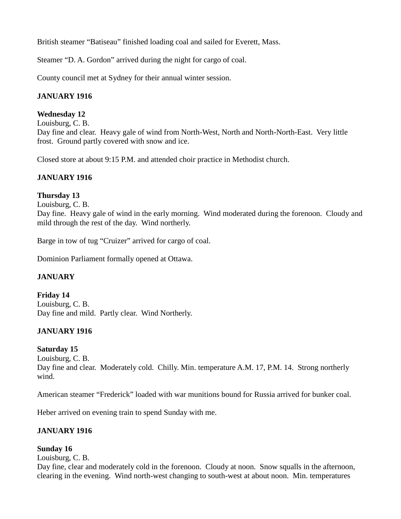British steamer "Batiseau" finished loading coal and sailed for Everett, Mass.

Steamer "D. A. Gordon" arrived during the night for cargo of coal.

County council met at Sydney for their annual winter session.

# **JANUARY 1916**

# **Wednesday 12**

Louisburg, C. B. Day fine and clear. Heavy gale of wind from North-West, North and North-North-East. Very little frost. Ground partly covered with snow and ice.

Closed store at about 9:15 P.M. and attended choir practice in Methodist church.

# **JANUARY 1916**

# **Thursday 13**

Louisburg, C. B.

Day fine. Heavy gale of wind in the early morning. Wind moderated during the forenoon. Cloudy and mild through the rest of the day. Wind northerly.

Barge in tow of tug "Cruizer" arrived for cargo of coal.

Dominion Parliament formally opened at Ottawa.

# **JANUARY**

**Friday 14** Louisburg, C. B. Day fine and mild. Partly clear. Wind Northerly.

# **JANUARY 1916**

### **Saturday 15**

Louisburg, C. B.

Day fine and clear. Moderately cold. Chilly. Min. temperature A.M. 17, P.M. 14. Strong northerly wind.

American steamer "Frederick" loaded with war munitions bound for Russia arrived for bunker coal.

Heber arrived on evening train to spend Sunday with me.

# **JANUARY 1916**

# **Sunday 16**

Louisburg, C. B.

Day fine, clear and moderately cold in the forenoon. Cloudy at noon. Snow squalls in the afternoon, clearing in the evening. Wind north-west changing to south-west at about noon. Min. temperatures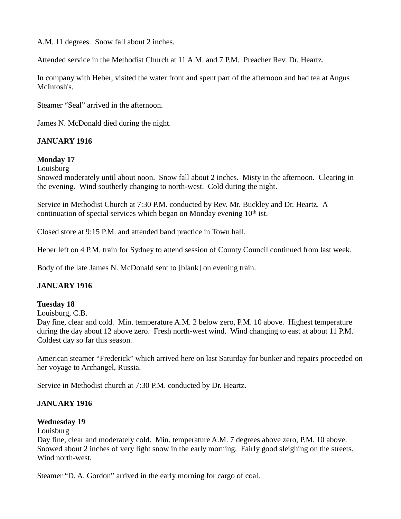A.M. 11 degrees. Snow fall about 2 inches.

Attended service in the Methodist Church at 11 A.M. and 7 P.M. Preacher Rev. Dr. Heartz.

In company with Heber, visited the water front and spent part of the afternoon and had tea at Angus McIntosh's.

Steamer "Seal" arrived in the afternoon.

James N. McDonald died during the night.

#### **JANUARY 1916**

#### **Monday 17**

**Louisburg** 

Snowed moderately until about noon. Snow fall about 2 inches. Misty in the afternoon. Clearing in the evening. Wind southerly changing to north-west. Cold during the night.

Service in Methodist Church at 7:30 P.M. conducted by Rev. Mr. Buckley and Dr. Heartz. A continuation of special services which began on Monday evening  $10<sup>th</sup>$  ist.

Closed store at 9:15 P.M. and attended band practice in Town hall.

Heber left on 4 P.M. train for Sydney to attend session of County Council continued from last week.

Body of the late James N. McDonald sent to [blank] on evening train.

#### **JANUARY 1916**

#### **Tuesday 18**

Louisburg, C.B.

Day fine, clear and cold. Min. temperature A.M. 2 below zero, P.M. 10 above. Highest temperature during the day about 12 above zero. Fresh north-west wind. Wind changing to east at about 11 P.M. Coldest day so far this season.

American steamer "Frederick" which arrived here on last Saturday for bunker and repairs proceeded on her voyage to Archangel, Russia.

Service in Methodist church at 7:30 P.M. conducted by Dr. Heartz.

#### **JANUARY 1916**

#### **Wednesday 19**

Louisburg

Day fine, clear and moderately cold. Min. temperature A.M. 7 degrees above zero, P.M. 10 above. Snowed about 2 inches of very light snow in the early morning. Fairly good sleighing on the streets. Wind north-west.

Steamer "D. A. Gordon" arrived in the early morning for cargo of coal.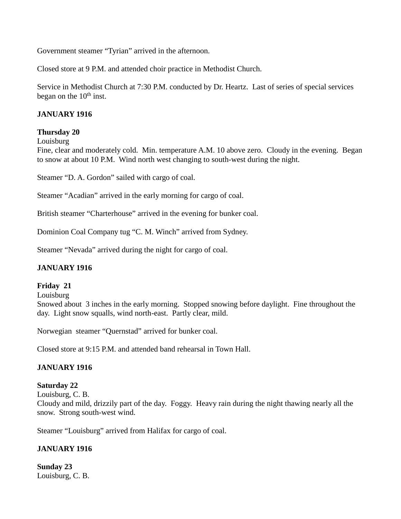Government steamer "Tyrian" arrived in the afternoon.

Closed store at 9 P.M. and attended choir practice in Methodist Church.

Service in Methodist Church at 7:30 P.M. conducted by Dr. Heartz. Last of series of special services began on the  $10<sup>th</sup>$  inst.

### **JANUARY 1916**

#### **Thursday 20**

Louisburg

Fine, clear and moderately cold. Min. temperature A.M. 10 above zero. Cloudy in the evening. Began to snow at about 10 P.M. Wind north west changing to south-west during the night.

Steamer "D. A. Gordon" sailed with cargo of coal.

Steamer "Acadian" arrived in the early morning for cargo of coal.

British steamer "Charterhouse" arrived in the evening for bunker coal.

Dominion Coal Company tug "C. M. Winch" arrived from Sydney.

Steamer "Nevada" arrived during the night for cargo of coal.

#### **JANUARY 1916**

#### **Friday 21**

Louisburg

Snowed about 3 inches in the early morning. Stopped snowing before daylight. Fine throughout the day. Light snow squalls, wind north-east. Partly clear, mild.

Norwegian steamer "Quernstad" arrived for bunker coal.

Closed store at 9:15 P.M. and attended band rehearsal in Town Hall.

### **JANUARY 1916**

### **Saturday 22**

Louisburg, C. B.

Cloudy and mild, drizzily part of the day. Foggy. Heavy rain during the night thawing nearly all the snow. Strong south-west wind.

Steamer "Louisburg" arrived from Halifax for cargo of coal.

### **JANUARY 1916**

**Sunday 23** Louisburg, C. B.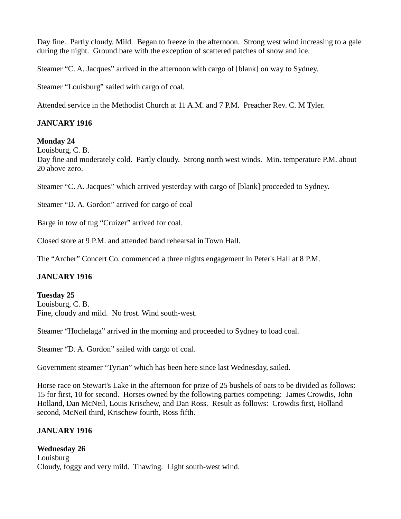Day fine. Partly cloudy. Mild. Began to freeze in the afternoon. Strong west wind increasing to a gale during the night. Ground bare with the exception of scattered patches of snow and ice.

Steamer "C. A. Jacques" arrived in the afternoon with cargo of [blank] on way to Sydney.

Steamer "Louisburg" sailed with cargo of coal.

Attended service in the Methodist Church at 11 A.M. and 7 P.M. Preacher Rev. C. M Tyler.

## **JANUARY 1916**

#### **Monday 24**

Louisburg, C. B.

Day fine and moderately cold. Partly cloudy. Strong north west winds. Min. temperature P.M. about 20 above zero.

Steamer "C. A. Jacques" which arrived yesterday with cargo of [blank] proceeded to Sydney.

Steamer "D. A. Gordon" arrived for cargo of coal

Barge in tow of tug "Cruizer" arrived for coal.

Closed store at 9 P.M. and attended band rehearsal in Town Hall.

The "Archer" Concert Co. commenced a three nights engagement in Peter's Hall at 8 P.M.

# **JANUARY 1916**

**Tuesday 25** Louisburg, C. B. Fine, cloudy and mild. No frost. Wind south-west.

Steamer "Hochelaga" arrived in the morning and proceeded to Sydney to load coal.

Steamer "D. A. Gordon" sailed with cargo of coal.

Government steamer "Tyrian" which has been here since last Wednesday, sailed.

Horse race on Stewart's Lake in the afternoon for prize of 25 bushels of oats to be divided as follows: 15 for first, 10 for second. Horses owned by the following parties competing: James Crowdis, John Holland, Dan McNeil, Louis Krischew, and Dan Ross. Result as follows: Crowdis first, Holland second, McNeil third, Krischew fourth, Ross fifth.

### **JANUARY 1916**

# **Wednesday 26**

**Louisburg** Cloudy, foggy and very mild. Thawing. Light south-west wind.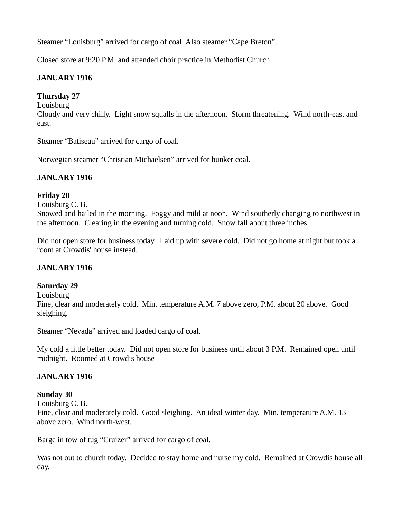Steamer "Louisburg" arrived for cargo of coal. Also steamer "Cape Breton".

Closed store at 9:20 P.M. and attended choir practice in Methodist Church.

# **JANUARY 1916**

# **Thursday 27**

**Louisburg** 

Cloudy and very chilly. Light snow squalls in the afternoon. Storm threatening. Wind north-east and east.

Steamer "Batiseau" arrived for cargo of coal.

Norwegian steamer "Christian Michaelsen" arrived for bunker coal.

# **JANUARY 1916**

# **Friday 28**

Louisburg C. B.

Snowed and hailed in the morning. Foggy and mild at noon. Wind southerly changing to northwest in the afternoon. Clearing in the evening and turning cold. Snow fall about three inches.

Did not open store for business today. Laid up with severe cold. Did not go home at night but took a room at Crowdis' house instead.

### **JANUARY 1916**

### **Saturday 29**

Louisburg

Fine, clear and moderately cold. Min. temperature A.M. 7 above zero, P.M. about 20 above. Good sleighing.

Steamer "Nevada" arrived and loaded cargo of coal.

My cold a little better today. Did not open store for business until about 3 P.M. Remained open until midnight. Roomed at Crowdis house

### **JANUARY 1916**

### **Sunday 30**

Louisburg C. B.

Fine, clear and moderately cold. Good sleighing. An ideal winter day. Min. temperature A.M. 13 above zero. Wind north-west.

Barge in tow of tug "Cruizer" arrived for cargo of coal.

Was not out to church today. Decided to stay home and nurse my cold. Remained at Crowdis house all day.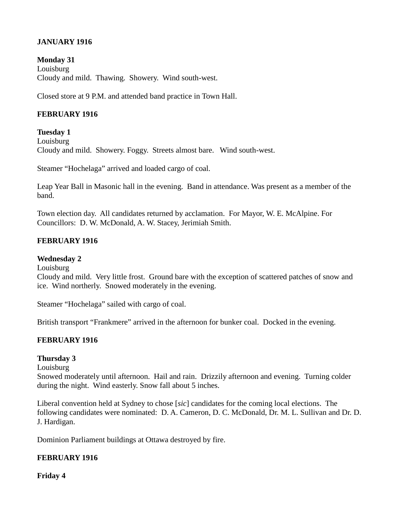### **JANUARY 1916**

**Monday 31** Louisburg Cloudy and mild. Thawing. Showery. Wind south-west.

Closed store at 9 P.M. and attended band practice in Town Hall.

### **FEBRUARY 1916**

#### **Tuesday 1**

Louisburg Cloudy and mild. Showery. Foggy. Streets almost bare. Wind south-west.

Steamer "Hochelaga" arrived and loaded cargo of coal.

Leap Year Ball in Masonic hall in the evening. Band in attendance. Was present as a member of the band.

Town election day. All candidates returned by acclamation. For Mayor, W. E. McAlpine. For Councillors: D. W. McDonald, A. W. Stacey, Jerimiah Smith.

#### **FEBRUARY 1916**

#### **Wednesday 2**

Louisburg

Cloudy and mild. Very little frost. Ground bare with the exception of scattered patches of snow and ice. Wind northerly. Snowed moderately in the evening.

Steamer "Hochelaga" sailed with cargo of coal.

British transport "Frankmere" arrived in the afternoon for bunker coal. Docked in the evening.

### **FEBRUARY 1916**

### **Thursday 3**

Louisburg

Snowed moderately until afternoon. Hail and rain. Drizzily afternoon and evening. Turning colder during the night. Wind easterly. Snow fall about 5 inches.

Liberal convention held at Sydney to chose [*sic*] candidates for the coming local elections. The following candidates were nominated: D. A. Cameron, D. C. McDonald, Dr. M. L. Sullivan and Dr. D. J. Hardigan.

Dominion Parliament buildings at Ottawa destroyed by fire.

### **FEBRUARY 1916**

**Friday 4**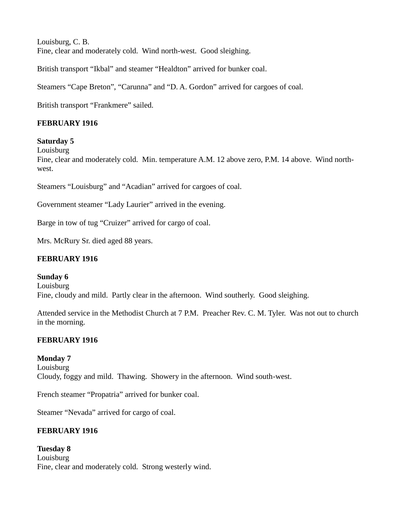Louisburg, C. B. Fine, clear and moderately cold. Wind north-west. Good sleighing.

British transport "Ikbal" and steamer "Healdton" arrived for bunker coal.

Steamers "Cape Breton", "Carunna" and "D. A. Gordon" arrived for cargoes of coal.

British transport "Frankmere" sailed.

## **FEBRUARY 1916**

### **Saturday 5**

Louisburg

Fine, clear and moderately cold. Min. temperature A.M. 12 above zero, P.M. 14 above. Wind northwest.

Steamers "Louisburg" and "Acadian" arrived for cargoes of coal.

Government steamer "Lady Laurier" arrived in the evening.

Barge in tow of tug "Cruizer" arrived for cargo of coal.

Mrs. McRury Sr. died aged 88 years.

## **FEBRUARY 1916**

**Sunday 6 Louisburg** Fine, cloudy and mild. Partly clear in the afternoon. Wind southerly. Good sleighing.

Attended service in the Methodist Church at 7 P.M. Preacher Rev. C. M. Tyler. Was not out to church in the morning.

# **FEBRUARY 1916**

### **Monday 7**

Louisburg Cloudy, foggy and mild. Thawing. Showery in the afternoon. Wind south-west.

French steamer "Propatria" arrived for bunker coal.

Steamer "Nevada" arrived for cargo of coal.

### **FEBRUARY 1916**

**Tuesday 8** Louisburg Fine, clear and moderately cold. Strong westerly wind.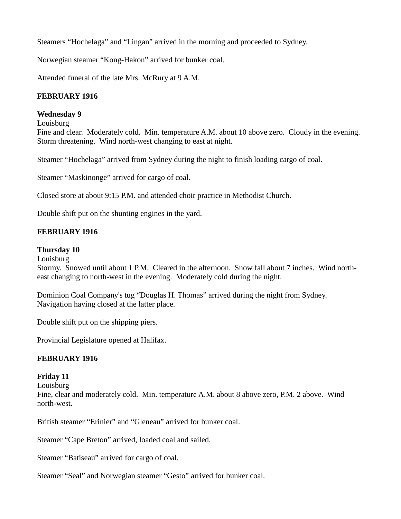Steamers "Hochelaga" and "Lingan" arrived in the morning and proceeded to Sydney.

Norwegian steamer "Kong-Hakon" arrived for bunker coal.

Attended funeral of the late Mrs. McRury at 9 A.M.

# **FEBRUARY 1916**

### **Wednesday 9**

Louisburg

Fine and clear. Moderately cold. Min. temperature A.M. about 10 above zero. Cloudy in the evening. Storm threatening. Wind north-west changing to east at night.

Steamer "Hochelaga" arrived from Sydney during the night to finish loading cargo of coal.

Steamer "Maskinonge" arrived for cargo of coal.

Closed store at about 9:15 P.M. and attended choir practice in Methodist Church.

Double shift put on the shunting engines in the yard.

# **FEBRUARY 1916**

### **Thursday 10**

**Louisburg** 

Stormy. Snowed until about 1 P.M. Cleared in the afternoon. Snow fall about 7 inches. Wind northeast changing to north-west in the evening. Moderately cold during the night.

Dominion Coal Company's tug "Douglas H. Thomas" arrived during the night from Sydney. Navigation having closed at the latter place.

Double shift put on the shipping piers.

Provincial Legislature opened at Halifax.

### **FEBRUARY 1916**

### **Friday 11**

Louisburg

Fine, clear and moderately cold. Min. temperature A.M. about 8 above zero, P.M. 2 above. Wind north-west.

British steamer "Erinier" and "Gleneau" arrived for bunker coal.

Steamer "Cape Breton" arrived, loaded coal and sailed.

Steamer "Batiseau" arrived for cargo of coal.

Steamer "Seal" and Norwegian steamer "Gesto" arrived for bunker coal.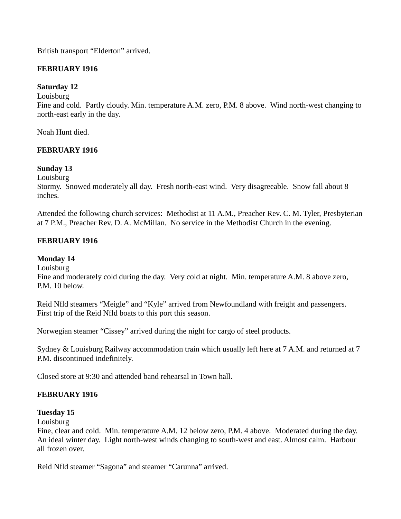British transport "Elderton" arrived.

## **FEBRUARY 1916**

## **Saturday 12**

Louisburg

Fine and cold. Partly cloudy. Min. temperature A.M. zero, P.M. 8 above. Wind north-west changing to north-east early in the day.

Noah Hunt died.

### **FEBRUARY 1916**

### **Sunday 13**

Louisburg

Stormy. Snowed moderately all day. Fresh north-east wind. Very disagreeable. Snow fall about 8 inches.

Attended the following church services: Methodist at 11 A.M., Preacher Rev. C. M. Tyler, Presbyterian at 7 P.M., Preacher Rev. D. A. McMillan. No service in the Methodist Church in the evening.

### **FEBRUARY 1916**

### **Monday 14**

Louisburg

Fine and moderately cold during the day. Very cold at night. Min. temperature A.M. 8 above zero, P.M. 10 below.

Reid Nfld steamers "Meigle" and "Kyle" arrived from Newfoundland with freight and passengers. First trip of the Reid Nfld boats to this port this season.

Norwegian steamer "Cissey" arrived during the night for cargo of steel products.

Sydney & Louisburg Railway accommodation train which usually left here at 7 A.M. and returned at 7 P.M. discontinued indefinitely.

Closed store at 9:30 and attended band rehearsal in Town hall.

### **FEBRUARY 1916**

### **Tuesday 15**

**Louisburg** 

Fine, clear and cold. Min. temperature A.M. 12 below zero, P.M. 4 above. Moderated during the day. An ideal winter day. Light north-west winds changing to south-west and east. Almost calm. Harbour all frozen over.

Reid Nfld steamer "Sagona" and steamer "Carunna" arrived.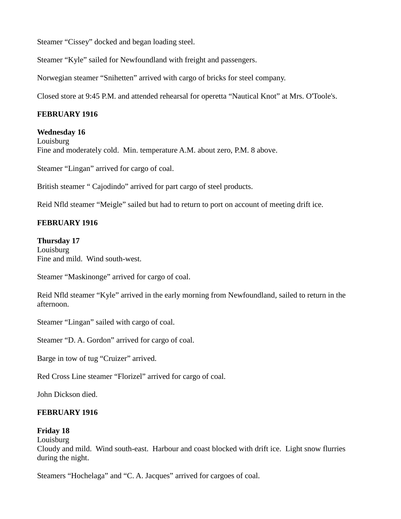Steamer "Cissey" docked and began loading steel.

Steamer "Kyle" sailed for Newfoundland with freight and passengers.

Norwegian steamer "Snihetten" arrived with cargo of bricks for steel company.

Closed store at 9:45 P.M. and attended rehearsal for operetta "Nautical Knot" at Mrs. O'Toole's.

## **FEBRUARY 1916**

**Wednesday 16** Louisburg Fine and moderately cold. Min. temperature A.M. about zero, P.M. 8 above.

Steamer "Lingan" arrived for cargo of coal.

British steamer " Cajodindo" arrived for part cargo of steel products.

Reid Nfld steamer "Meigle" sailed but had to return to port on account of meeting drift ice.

### **FEBRUARY 1916**

#### **Thursday 17**

Louisburg Fine and mild. Wind south-west.

Steamer "Maskinonge" arrived for cargo of coal.

Reid Nfld steamer "Kyle" arrived in the early morning from Newfoundland, sailed to return in the afternoon.

Steamer "Lingan" sailed with cargo of coal.

Steamer "D. A. Gordon" arrived for cargo of coal.

Barge in tow of tug "Cruizer" arrived.

Red Cross Line steamer "Florizel" arrived for cargo of coal.

John Dickson died.

### **FEBRUARY 1916**

### **Friday 18**

**Louisburg** 

Cloudy and mild. Wind south-east. Harbour and coast blocked with drift ice. Light snow flurries during the night.

Steamers "Hochelaga" and "C. A. Jacques" arrived for cargoes of coal.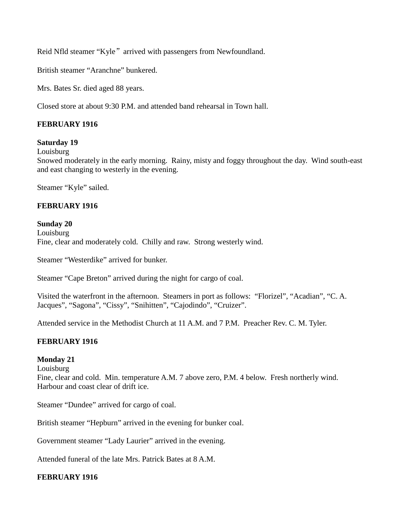Reid Nfld steamer "Kyle" arrived with passengers from Newfoundland.

British steamer "Aranchne" bunkered.

Mrs. Bates Sr. died aged 88 years.

Closed store at about 9:30 P.M. and attended band rehearsal in Town hall.

## **FEBRUARY 1916**

#### **Saturday 19**

Louisburg

Snowed moderately in the early morning. Rainy, misty and foggy throughout the day. Wind south-east and east changing to westerly in the evening.

Steamer "Kyle" sailed.

#### **FEBRUARY 1916**

#### **Sunday 20**

**Louisburg** Fine, clear and moderately cold. Chilly and raw. Strong westerly wind.

Steamer "Westerdike" arrived for bunker.

Steamer "Cape Breton" arrived during the night for cargo of coal.

Visited the waterfront in the afternoon. Steamers in port as follows: "Florizel", "Acadian", "C. A. Jacques", "Sagona", "Cissy", "Snihitten", "Cajodindo", "Cruizer".

Attended service in the Methodist Church at 11 A.M. and 7 P.M. Preacher Rev. C. M. Tyler.

### **FEBRUARY 1916**

#### **Monday 21**

**Louisburg** 

Fine, clear and cold. Min. temperature A.M. 7 above zero, P.M. 4 below. Fresh northerly wind. Harbour and coast clear of drift ice.

Steamer "Dundee" arrived for cargo of coal.

British steamer "Hepburn" arrived in the evening for bunker coal.

Government steamer "Lady Laurier" arrived in the evening.

Attended funeral of the late Mrs. Patrick Bates at 8 A.M.

### **FEBRUARY 1916**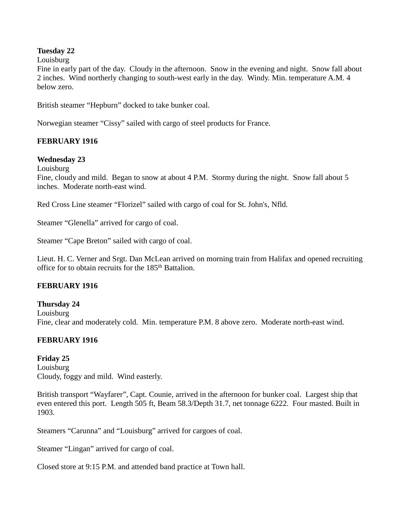#### **Tuesday 22**

#### Louisburg

Fine in early part of the day. Cloudy in the afternoon. Snow in the evening and night. Snow fall about 2 inches. Wind northerly changing to south-west early in the day. Windy. Min. temperature A.M. 4 below zero.

British steamer "Hepburn" docked to take bunker coal.

Norwegian steamer "Cissy" sailed with cargo of steel products for France.

### **FEBRUARY 1916**

#### **Wednesday 23**

**Louisburg** 

Fine, cloudy and mild. Began to snow at about 4 P.M. Stormy during the night. Snow fall about 5 inches. Moderate north-east wind.

Red Cross Line steamer "Florizel" sailed with cargo of coal for St. John's, Nfld.

Steamer "Glenella" arrived for cargo of coal.

Steamer "Cape Breton" sailed with cargo of coal.

Lieut. H. C. Verner and Srgt. Dan McLean arrived on morning train from Halifax and opened recruiting office for to obtain recruits for the 185<sup>th</sup> Battalion.

#### **FEBRUARY 1916**

**Thursday 24** Louisburg Fine, clear and moderately cold. Min. temperature P.M. 8 above zero. Moderate north-east wind.

### **FEBRUARY 1916**

**Friday 25** Louisburg Cloudy, foggy and mild. Wind easterly.

British transport "Wayfarer", Capt. Counie, arrived in the afternoon for bunker coal. Largest ship that even entered this port. Length 505 ft, Beam 58.3/Depth 31.7, net tonnage 6222. Four masted. Built in 1903.

Steamers "Carunna" and "Louisburg" arrived for cargoes of coal.

Steamer "Lingan" arrived for cargo of coal.

Closed store at 9:15 P.M. and attended band practice at Town hall.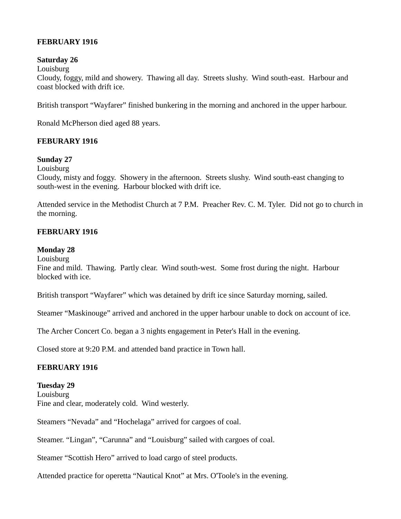## **FEBRUARY 1916**

### **Saturday 26**

Louisburg

Cloudy, foggy, mild and showery. Thawing all day. Streets slushy. Wind south-east. Harbour and coast blocked with drift ice.

British transport "Wayfarer" finished bunkering in the morning and anchored in the upper harbour.

Ronald McPherson died aged 88 years.

# **FEBURARY 1916**

### **Sunday 27**

**Louisburg** 

Cloudy, misty and foggy. Showery in the afternoon. Streets slushy. Wind south-east changing to south-west in the evening. Harbour blocked with drift ice.

Attended service in the Methodist Church at 7 P.M. Preacher Rev. C. M. Tyler. Did not go to church in the morning.

# **FEBRUARY 1916**

# **Monday 28**

**Louisburg** 

Fine and mild. Thawing. Partly clear. Wind south-west. Some frost during the night. Harbour blocked with ice.

British transport "Wayfarer" which was detained by drift ice since Saturday morning, sailed.

Steamer "Maskinouge" arrived and anchored in the upper harbour unable to dock on account of ice.

The Archer Concert Co. began a 3 nights engagement in Peter's Hall in the evening.

Closed store at 9:20 P.M. and attended band practice in Town hall.

# **FEBRUARY 1916**

**Tuesday 29** Louisburg Fine and clear, moderately cold. Wind westerly.

Steamers "Nevada" and "Hochelaga" arrived for cargoes of coal.

Steamer. "Lingan", "Carunna" and "Louisburg" sailed with cargoes of coal.

Steamer "Scottish Hero" arrived to load cargo of steel products.

Attended practice for operetta "Nautical Knot" at Mrs. O'Toole's in the evening.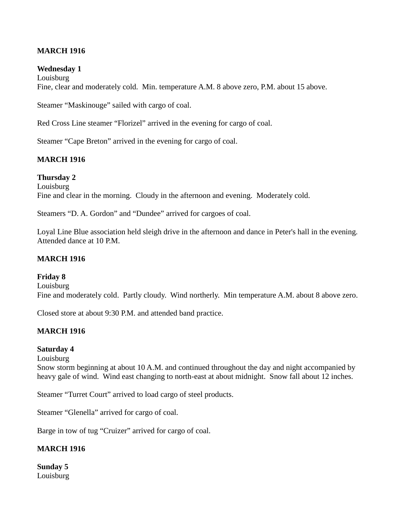### **MARCH 1916**

#### **Wednesday 1**

**Louisburg** Fine, clear and moderately cold. Min. temperature A.M. 8 above zero, P.M. about 15 above.

Steamer "Maskinouge" sailed with cargo of coal.

Red Cross Line steamer "Florizel" arrived in the evening for cargo of coal.

Steamer "Cape Breton" arrived in the evening for cargo of coal.

#### **MARCH 1916**

**Thursday 2** Louisburg Fine and clear in the morning. Cloudy in the afternoon and evening. Moderately cold.

Steamers "D. A. Gordon" and "Dundee" arrived for cargoes of coal.

Loyal Line Blue association held sleigh drive in the afternoon and dance in Peter's hall in the evening. Attended dance at 10 P.M.

#### **MARCH 1916**

#### **Friday 8**

Louisburg Fine and moderately cold. Partly cloudy. Wind northerly. Min temperature A.M. about 8 above zero.

Closed store at about 9:30 P.M. and attended band practice.

# **MARCH 1916**

#### **Saturday 4**

Louisburg

Snow storm beginning at about 10 A.M. and continued throughout the day and night accompanied by heavy gale of wind. Wind east changing to north-east at about midnight. Snow fall about 12 inches.

Steamer "Turret Court" arrived to load cargo of steel products.

Steamer "Glenella" arrived for cargo of coal.

Barge in tow of tug "Cruizer" arrived for cargo of coal.

#### **MARCH 1916**

**Sunday 5** Louisburg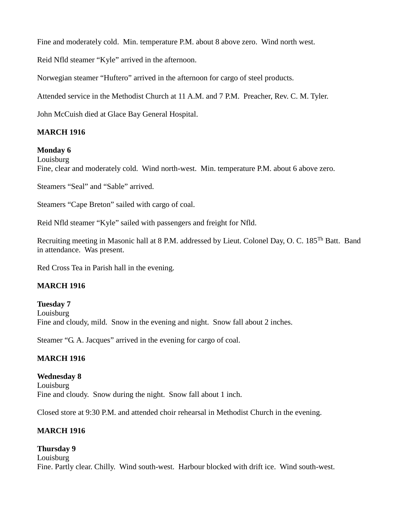Fine and moderately cold. Min. temperature P.M. about 8 above zero. Wind north west.

Reid Nfld steamer "Kyle" arrived in the afternoon.

Norwegian steamer "Huftero" arrived in the afternoon for cargo of steel products.

Attended service in the Methodist Church at 11 A.M. and 7 P.M. Preacher, Rev. C. M. Tyler.

John McCuish died at Glace Bay General Hospital.

# **MARCH 1916**

# **Monday 6**

Louisburg

Fine, clear and moderately cold. Wind north-west. Min. temperature P.M. about 6 above zero.

Steamers "Seal" and "Sable" arrived.

Steamers "Cape Breton" sailed with cargo of coal.

Reid Nfld steamer "Kyle" sailed with passengers and freight for Nfld.

Recruiting meeting in Masonic hall at 8 P.M. addressed by Lieut. Colonel Day, O. C. 185Th Batt. Band in attendance. Was present.

Red Cross Tea in Parish hall in the evening.

### **MARCH 1916**

**Tuesday 7** Louisburg Fine and cloudy, mild. Snow in the evening and night. Snow fall about 2 inches.

Steamer "G. A. Jacques" arrived in the evening for cargo of coal.

### **MARCH 1916**

**Wednesday 8** Louisburg Fine and cloudy. Snow during the night. Snow fall about 1 inch.

Closed store at 9:30 P.M. and attended choir rehearsal in Methodist Church in the evening.

# **MARCH 1916**

**Thursday 9 Louisburg** Fine. Partly clear. Chilly. Wind south-west. Harbour blocked with drift ice. Wind south-west.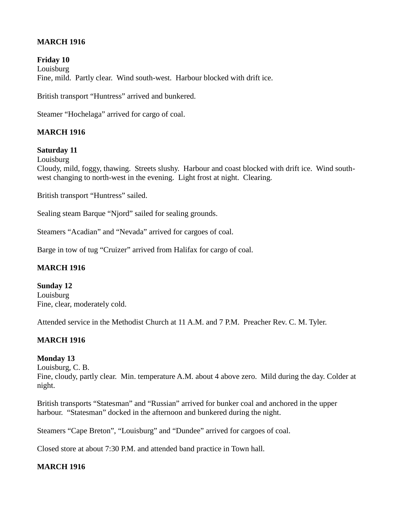# **MARCH 1916**

**Friday 10** Louisburg Fine, mild. Partly clear. Wind south-west. Harbour blocked with drift ice.

British transport "Huntress" arrived and bunkered.

Steamer "Hochelaga" arrived for cargo of coal.

### **MARCH 1916**

### **Saturday 11**

Louisburg

Cloudy, mild, foggy, thawing. Streets slushy. Harbour and coast blocked with drift ice. Wind southwest changing to north-west in the evening. Light frost at night. Clearing.

British transport "Huntress" sailed.

Sealing steam Barque "Njord" sailed for sealing grounds.

Steamers "Acadian" and "Nevada" arrived for cargoes of coal.

Barge in tow of tug "Cruizer" arrived from Halifax for cargo of coal.

#### **MARCH 1916**

**Sunday 12** Louisburg Fine, clear, moderately cold.

Attended service in the Methodist Church at 11 A.M. and 7 P.M. Preacher Rev. C. M. Tyler.

### **MARCH 1916**

### **Monday 13**

Louisburg, C. B.

Fine, cloudy, partly clear. Min. temperature A.M. about 4 above zero. Mild during the day. Colder at night.

British transports "Statesman" and "Russian" arrived for bunker coal and anchored in the upper harbour. "Statesman" docked in the afternoon and bunkered during the night.

Steamers "Cape Breton", "Louisburg" and "Dundee" arrived for cargoes of coal.

Closed store at about 7:30 P.M. and attended band practice in Town hall.

### **MARCH 1916**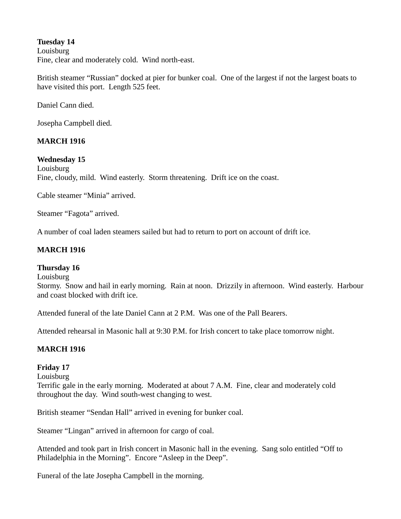### **Tuesday 14**

Louisburg Fine, clear and moderately cold. Wind north-east.

British steamer "Russian" docked at pier for bunker coal. One of the largest if not the largest boats to have visited this port. Length 525 feet.

Daniel Cann died.

Josepha Campbell died.

# **MARCH 1916**

**Wednesday 15 Louisburg** Fine, cloudy, mild. Wind easterly. Storm threatening. Drift ice on the coast.

Cable steamer "Minia" arrived.

Steamer "Fagota" arrived.

A number of coal laden steamers sailed but had to return to port on account of drift ice.

### **MARCH 1916**

#### **Thursday 16**

Louisburg

Stormy. Snow and hail in early morning. Rain at noon. Drizzily in afternoon. Wind easterly. Harbour and coast blocked with drift ice.

Attended funeral of the late Daniel Cann at 2 P.M. Was one of the Pall Bearers.

Attended rehearsal in Masonic hall at 9:30 P.M. for Irish concert to take place tomorrow night.

### **MARCH 1916**

# **Friday 17**

Louisburg

Terrific gale in the early morning. Moderated at about 7 A.M. Fine, clear and moderately cold throughout the day. Wind south-west changing to west.

British steamer "Sendan Hall" arrived in evening for bunker coal.

Steamer "Lingan" arrived in afternoon for cargo of coal.

Attended and took part in Irish concert in Masonic hall in the evening. Sang solo entitled "Off to Philadelphia in the Morning". Encore "Asleep in the Deep".

Funeral of the late Josepha Campbell in the morning.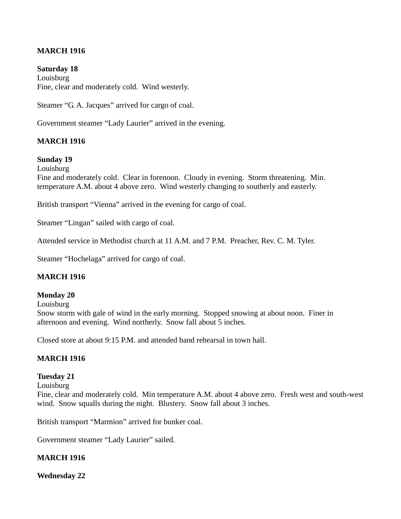### **MARCH 1916**

**Saturday 18 Louisburg** Fine, clear and moderately cold. Wind westerly.

Steamer "G. A. Jacques" arrived for cargo of coal.

Government steamer "Lady Laurier" arrived in the evening.

#### **MARCH 1916**

#### **Sunday 19**

**Louisburg** 

Fine and moderately cold. Clear in forenoon. Cloudy in evening. Storm threatening. Min. temperature A.M. about 4 above zero. Wind westerly changing to southerly and easterly.

British transport "Vienna" arrived in the evening for cargo of coal.

Steamer "Lingan" sailed with cargo of coal.

Attended service in Methodist church at 11 A.M. and 7 P.M. Preacher, Rev. C. M. Tyler.

Steamer "Hochelaga" arrived for cargo of coal.

#### **MARCH 1916**

#### **Monday 20**

**Louisburg** 

Snow storm with gale of wind in the early morning. Stopped snowing at about noon. Finer in afternoon and evening. Wind northerly. Snow fall about 5 inches.

Closed store at about 9:15 P.M. and attended band rehearsal in town hall.

#### **MARCH 1916**

#### **Tuesday 21**

Louisburg Fine, clear and moderately cold. Min temperature A.M. about 4 above zero. Fresh west and south-west wind. Snow squalls during the night. Blustery. Snow fall about 3 inches.

British transport "Marmion" arrived for bunker coal.

Government steamer "Lady Laurier" sailed.

#### **MARCH 1916**

**Wednesday 22**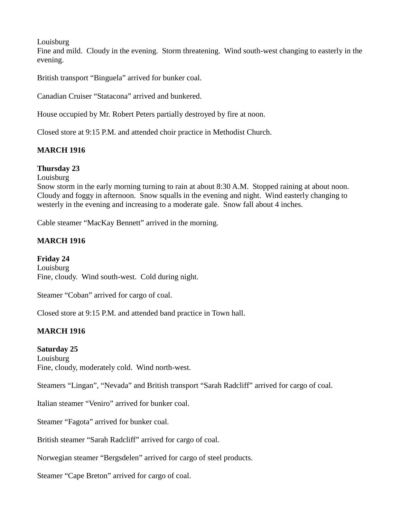**Louisburg** 

Fine and mild. Cloudy in the evening. Storm threatening. Wind south-west changing to easterly in the evening.

British transport "Binguela" arrived for bunker coal.

Canadian Cruiser "Statacona" arrived and bunkered.

House occupied by Mr. Robert Peters partially destroyed by fire at noon.

Closed store at 9:15 P.M. and attended choir practice in Methodist Church.

### **MARCH 1916**

### **Thursday 23**

Louisburg

Snow storm in the early morning turning to rain at about 8:30 A.M. Stopped raining at about noon. Cloudy and foggy in afternoon. Snow squalls in the evening and night. Wind easterly changing to westerly in the evening and increasing to a moderate gale. Snow fall about 4 inches.

Cable steamer "MacKay Bennett" arrived in the morning.

### **MARCH 1916**

**Friday 24** Louisburg Fine, cloudy. Wind south-west. Cold during night.

Steamer "Coban" arrived for cargo of coal.

Closed store at 9:15 P.M. and attended band practice in Town hall.

### **MARCH 1916**

### **Saturday 25**

Louisburg Fine, cloudy, moderately cold. Wind north-west.

Steamers "Lingan", "Nevada" and British transport "Sarah Radcliff" arrived for cargo of coal.

Italian steamer "Veniro" arrived for bunker coal.

Steamer "Fagota" arrived for bunker coal.

British steamer "Sarah Radcliff" arrived for cargo of coal.

Norwegian steamer "Bergsdelen" arrived for cargo of steel products.

Steamer "Cape Breton" arrived for cargo of coal.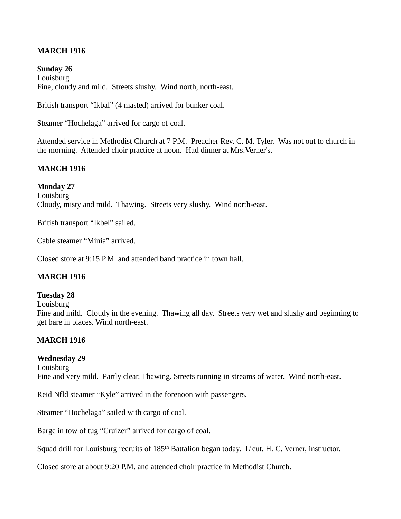### **MARCH 1916**

**Sunday 26 Louisburg** Fine, cloudy and mild. Streets slushy. Wind north, north-east.

British transport "Ikbal" (4 masted) arrived for bunker coal.

Steamer "Hochelaga" arrived for cargo of coal.

Attended service in Methodist Church at 7 P.M. Preacher Rev. C. M. Tyler. Was not out to church in the morning. Attended choir practice at noon. Had dinner at Mrs.Verner's.

#### **MARCH 1916**

#### **Monday 27**

**Louisburg** Cloudy, misty and mild. Thawing. Streets very slushy. Wind north-east.

British transport "Ikbel" sailed.

Cable steamer "Minia" arrived.

Closed store at 9:15 P.M. and attended band practice in town hall.

#### **MARCH 1916**

#### **Tuesday 28**

**Louisburg** 

Fine and mild. Cloudy in the evening. Thawing all day. Streets very wet and slushy and beginning to get bare in places. Wind north-east.

# **MARCH 1916**

#### **Wednesday 29**

Louisburg

Fine and very mild. Partly clear. Thawing. Streets running in streams of water. Wind north-east.

Reid Nfld steamer "Kyle" arrived in the forenoon with passengers.

Steamer "Hochelaga" sailed with cargo of coal.

Barge in tow of tug "Cruizer" arrived for cargo of coal.

Squad drill for Louisburg recruits of 185<sup>th</sup> Battalion began today. Lieut. H. C. Verner, instructor.

Closed store at about 9:20 P.M. and attended choir practice in Methodist Church.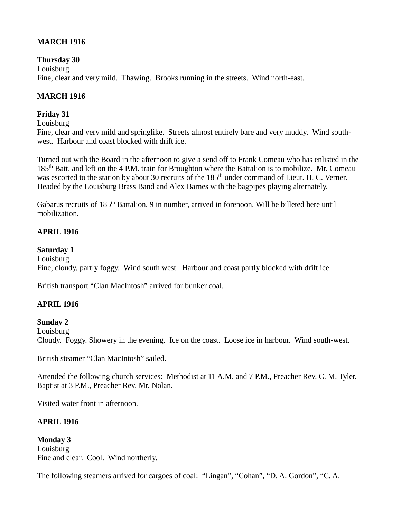# **MARCH 1916**

**Thursday 30** Louisburg Fine, clear and very mild. Thawing. Brooks running in the streets. Wind north-east.

### **MARCH 1916**

### **Friday 31**

Louisburg

Fine, clear and very mild and springlike. Streets almost entirely bare and very muddy. Wind southwest. Harbour and coast blocked with drift ice.

Turned out with the Board in the afternoon to give a send off to Frank Comeau who has enlisted in the 185<sup>th</sup> Batt. and left on the 4 P.M. train for Broughton where the Battalion is to mobilize. Mr. Comeau was escorted to the station by about 30 recruits of the 185<sup>th</sup> under command of Lieut. H. C. Verner. Headed by the Louisburg Brass Band and Alex Barnes with the bagpipes playing alternately.

Gabarus recruits of 185<sup>th</sup> Battalion, 9 in number, arrived in forenoon. Will be billeted here until mobilization.

### **APRIL 1916**

#### **Saturday 1**

**Louisburg** 

Fine, cloudy, partly foggy. Wind south west. Harbour and coast partly blocked with drift ice.

British transport "Clan MacIntosh" arrived for bunker coal.

### **APRIL 1916**

#### **Sunday 2**

**Louisburg** 

Cloudy. Foggy. Showery in the evening. Ice on the coast. Loose ice in harbour. Wind south-west.

British steamer "Clan MacIntosh" sailed.

Attended the following church services: Methodist at 11 A.M. and 7 P.M., Preacher Rev. C. M. Tyler. Baptist at 3 P.M., Preacher Rev. Mr. Nolan.

Visited water front in afternoon.

## **APRIL 1916**

**Monday 3** Louisburg Fine and clear. Cool. Wind northerly.

The following steamers arrived for cargoes of coal: "Lingan", "Cohan", "D. A. Gordon", "C. A.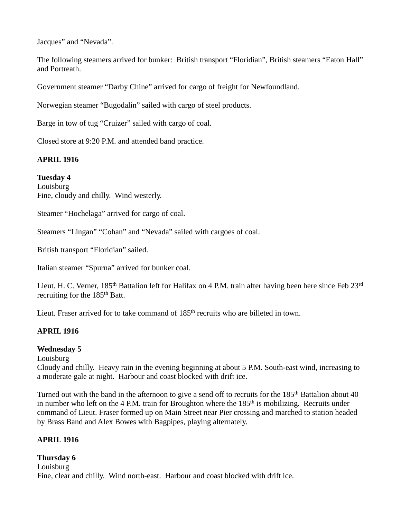Jacques" and "Nevada".

The following steamers arrived for bunker: British transport "Floridian", British steamers "Eaton Hall" and Portreath.

Government steamer "Darby Chine" arrived for cargo of freight for Newfoundland.

Norwegian steamer "Bugodalin" sailed with cargo of steel products.

Barge in tow of tug "Cruizer" sailed with cargo of coal.

Closed store at 9:20 P.M. and attended band practice.

# **APRIL 1916**

### **Tuesday 4**

Louisburg Fine, cloudy and chilly. Wind westerly.

Steamer "Hochelaga" arrived for cargo of coal.

Steamers "Lingan" "Cohan" and "Nevada" sailed with cargoes of coal.

British transport "Floridian" sailed.

Italian steamer "Spurna" arrived for bunker coal.

Lieut. H. C. Verner, 185<sup>th</sup> Battalion left for Halifax on 4 P.M. train after having been here since Feb 23<sup>rd</sup> recruiting for the 185<sup>th</sup> Batt.

Lieut. Fraser arrived for to take command of  $185<sup>th</sup>$  recruits who are billeted in town.

### **APRIL 1916**

### **Wednesday 5**

Louisburg

Cloudy and chilly. Heavy rain in the evening beginning at about 5 P.M. South-east wind, increasing to a moderate gale at night. Harbour and coast blocked with drift ice.

Turned out with the band in the afternoon to give a send off to recruits for the 185<sup>th</sup> Battalion about 40 in number who left on the 4 P.M. train for Broughton where the  $185<sup>th</sup>$  is mobilizing. Recruits under command of Lieut. Fraser formed up on Main Street near Pier crossing and marched to station headed by Brass Band and Alex Bowes with Bagpipes, playing alternately.

# **APRIL 1916**

# **Thursday 6 Louisburg** Fine, clear and chilly. Wind north-east. Harbour and coast blocked with drift ice.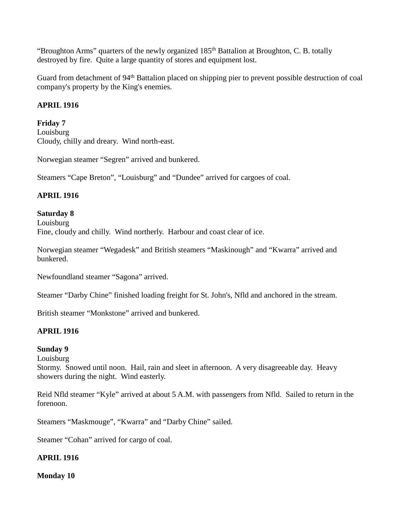"Broughton Arms" quarters of the newly organized 185<sup>th</sup> Battalion at Broughton, C. B. totally destroyed by fire. Quite a large quantity of stores and equipment lost.

Guard from detachment of 94<sup>th</sup> Battalion placed on shipping pier to prevent possible destruction of coal company's property by the King's enemies.

# **APRIL 1916**

## **Friday 7**

Louisburg Cloudy, chilly and dreary. Wind north-east.

Norwegian steamer "Segren" arrived and bunkered.

Steamers "Cape Breton", "Louisburg" and "Dundee" arrived for cargoes of coal.

# **APRIL 1916**

#### **Saturday 8** Louisburg Fine, cloudy and chilly. Wind northerly. Harbour and coast clear of ice.

Norwegian steamer "Wegadesk" and British steamers "Maskinough" and "Kwarra" arrived and bunkered.

Newfoundland steamer "Sagona" arrived.

Steamer "Darby Chine" finished loading freight for St. John's, Nfld and anchored in the stream.

British steamer "Monkstone" arrived and bunkered.

# **APRIL 1916**

### **Sunday 9**

Louisburg

Stormy. Snowed until noon. Hail, rain and sleet in afternoon. A very disagreeable day. Heavy showers during the night. Wind easterly.

Reid Nfld steamer "Kyle" arrived at about 5 A.M. with passengers from Nfld. Sailed to return in the forenoon.

Steamers "Maskmouge", "Kwarra" and "Darby Chine" sailed.

Steamer "Cohan" arrived for cargo of coal.

# **APRIL 1916**

**Monday 10**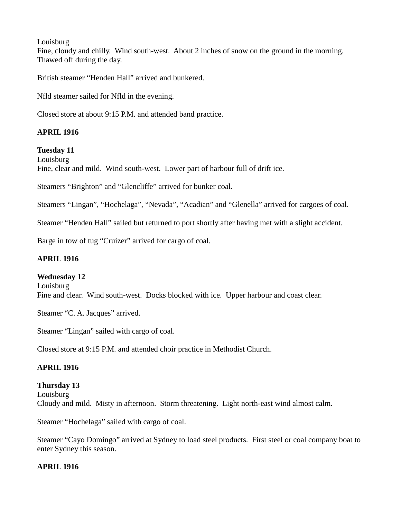**Louisburg** 

Fine, cloudy and chilly. Wind south-west. About 2 inches of snow on the ground in the morning. Thawed off during the day.

British steamer "Henden Hall" arrived and bunkered.

Nfld steamer sailed for Nfld in the evening.

Closed store at about 9:15 P.M. and attended band practice.

# **APRIL 1916**

**Tuesday 11**

Louisburg Fine, clear and mild. Wind south-west. Lower part of harbour full of drift ice.

Steamers "Brighton" and "Glencliffe" arrived for bunker coal.

Steamers "Lingan", "Hochelaga", "Nevada", "Acadian" and "Glenella" arrived for cargoes of coal.

Steamer "Henden Hall" sailed but returned to port shortly after having met with a slight accident.

Barge in tow of tug "Cruizer" arrived for cargo of coal.

## **APRIL 1916**

### **Wednesday 12**

**Louisburg** Fine and clear. Wind south-west. Docks blocked with ice. Upper harbour and coast clear.

Steamer "C. A. Jacques" arrived.

Steamer "Lingan" sailed with cargo of coal.

Closed store at 9:15 P.M. and attended choir practice in Methodist Church.

# **APRIL 1916**

**Thursday 13** Louisburg Cloudy and mild. Misty in afternoon. Storm threatening. Light north-east wind almost calm.

Steamer "Hochelaga" sailed with cargo of coal.

Steamer "Cayo Domingo" arrived at Sydney to load steel products. First steel or coal company boat to enter Sydney this season.

### **APRIL 1916**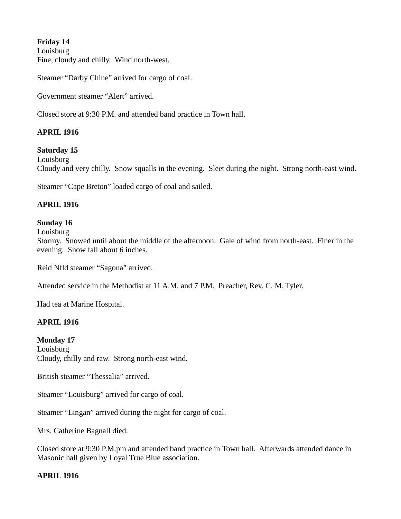# **Friday 14**

Louisburg Fine, cloudy and chilly. Wind north-west.

Steamer "Darby Chine" arrived for cargo of coal.

Government steamer "Alert" arrived.

Closed store at 9:30 P.M. and attended band practice in Town hall.

# **APRIL 1916**

# **Saturday 15**

Louisburg Cloudy and very chilly. Snow squalls in the evening. Sleet during the night. Strong north-east wind.

Steamer "Cape Breton" loaded cargo of coal and sailed.

#### **APRIL 1916**

#### **Sunday 16**

Louisburg

Stormy. Snowed until about the middle of the afternoon. Gale of wind from north-east. Finer in the evening. Snow fall about 6 inches.

Reid Nfld steamer "Sagona" arrived.

Attended service in the Methodist at 11 A.M. and 7 P.M. Preacher, Rev. C. M. Tyler.

Had tea at Marine Hospital.

#### **APRIL 1916**

#### **Monday 17**

**Louisburg** Cloudy, chilly and raw. Strong north-east wind.

British steamer "Thessalia" arrived.

Steamer "Louisburg" arrived for cargo of coal.

Steamer "Lingan" arrived during the night for cargo of coal.

Mrs. Catherine Bagnall died.

Closed store at 9:30 P.M.pm and attended band practice in Town hall. Afterwards attended dance in Masonic hall given by Loyal True Blue association.

#### **APRIL 1916**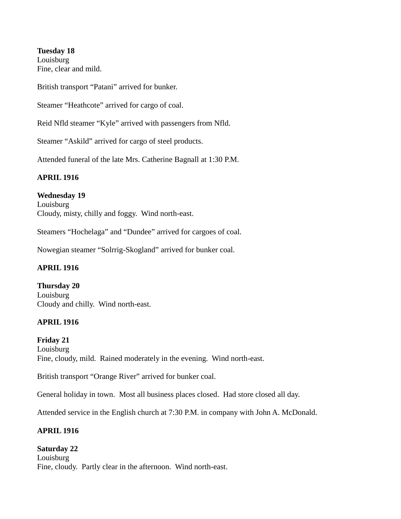**Tuesday 18 Louisburg** Fine, clear and mild.

British transport "Patani" arrived for bunker.

Steamer "Heathcote" arrived for cargo of coal.

Reid Nfld steamer "Kyle" arrived with passengers from Nfld.

Steamer "Askild" arrived for cargo of steel products.

Attended funeral of the late Mrs. Catherine Bagnall at 1:30 P.M.

#### **APRIL 1916**

### **Wednesday 19**

Louisburg Cloudy, misty, chilly and foggy. Wind north-east.

Steamers "Hochelaga" and "Dundee" arrived for cargoes of coal.

Nowegian steamer "Solrrig-Skogland" arrived for bunker coal.

#### **APRIL 1916**

**Thursday 20** Louisburg Cloudy and chilly. Wind north-east.

#### **APRIL 1916**

**Friday 21 Louisburg** Fine, cloudy, mild. Rained moderately in the evening. Wind north-east.

British transport "Orange River" arrived for bunker coal.

General holiday in town. Most all business places closed. Had store closed all day.

Attended service in the English church at 7:30 P.M. in company with John A. McDonald.

### **APRIL 1916**

#### **Saturday 22**

Louisburg Fine, cloudy. Partly clear in the afternoon. Wind north-east.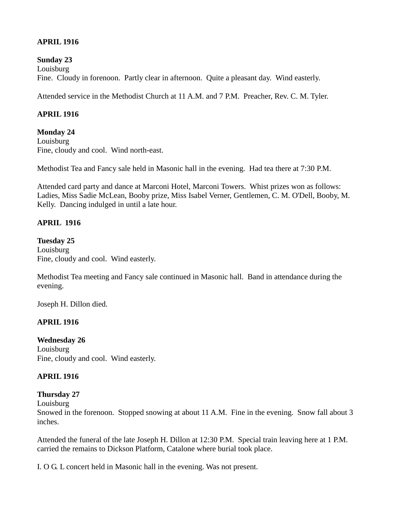## **APRIL 1916**

**Sunday 23** Louisburg Fine. Cloudy in forenoon. Partly clear in afternoon. Quite a pleasant day. Wind easterly.

Attended service in the Methodist Church at 11 A.M. and 7 P.M. Preacher, Rev. C. M. Tyler.

## **APRIL 1916**

## **Monday 24**

Louisburg Fine, cloudy and cool. Wind north-east.

Methodist Tea and Fancy sale held in Masonic hall in the evening. Had tea there at 7:30 P.M.

Attended card party and dance at Marconi Hotel, Marconi Towers. Whist prizes won as follows: Ladies, Miss Sadie McLean, Booby prize, Miss Isabel Verner, Gentlemen, C. M. O'Dell, Booby, M. Kelly. Dancing indulged in until a late hour.

# **APRIL 1916**

#### **Tuesday 25**

Louisburg Fine, cloudy and cool. Wind easterly.

Methodist Tea meeting and Fancy sale continued in Masonic hall. Band in attendance during the evening.

Joseph H. Dillon died.

### **APRIL 1916**

#### **Wednesday 26 Louisburg** Fine, cloudy and cool. Wind easterly.

### **APRIL 1916**

### **Thursday 27**

Louisburg

Snowed in the forenoon. Stopped snowing at about 11 A.M. Fine in the evening. Snow fall about 3 inches.

Attended the funeral of the late Joseph H. Dillon at 12:30 P.M. Special train leaving here at 1 P.M. carried the remains to Dickson Platform, Catalone where burial took place.

I. O G. L concert held in Masonic hall in the evening. Was not present.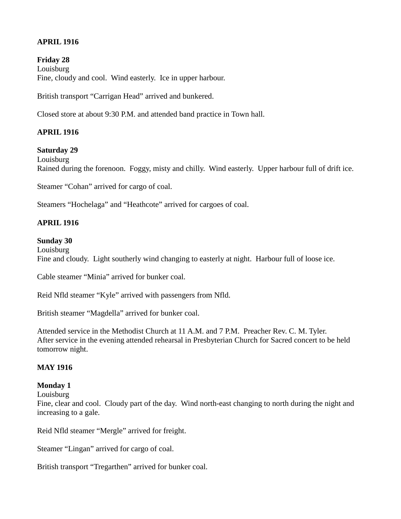# **APRIL 1916**

**Friday 28** Louisburg Fine, cloudy and cool. Wind easterly. Ice in upper harbour.

British transport "Carrigan Head" arrived and bunkered.

Closed store at about 9:30 P.M. and attended band practice in Town hall.

# **APRIL 1916**

# **Saturday 29**

Louisburg Rained during the forenoon. Foggy, misty and chilly. Wind easterly. Upper harbour full of drift ice.

Steamer "Cohan" arrived for cargo of coal.

Steamers "Hochelaga" and "Heathcote" arrived for cargoes of coal.

#### **APRIL 1916**

#### **Sunday 30**

Louisburg Fine and cloudy. Light southerly wind changing to easterly at night. Harbour full of loose ice.

Cable steamer "Minia" arrived for bunker coal.

Reid Nfld steamer "Kyle" arrived with passengers from Nfld.

British steamer "Magdella" arrived for bunker coal.

Attended service in the Methodist Church at 11 A.M. and 7 P.M. Preacher Rev. C. M. Tyler. After service in the evening attended rehearsal in Presbyterian Church for Sacred concert to be held tomorrow night.

### **MAY 1916**

### **Monday 1**

**Louisburg** 

Fine, clear and cool. Cloudy part of the day. Wind north-east changing to north during the night and increasing to a gale.

Reid Nfld steamer "Mergle" arrived for freight.

Steamer "Lingan" arrived for cargo of coal.

British transport "Tregarthen" arrived for bunker coal.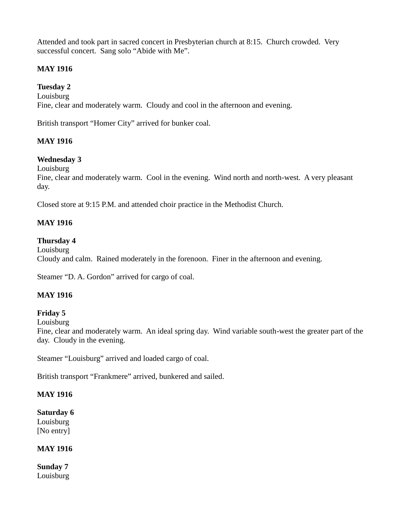Attended and took part in sacred concert in Presbyterian church at 8:15. Church crowded. Very successful concert. Sang solo "Abide with Me".

# **MAY 1916**

**Tuesday 2** Louisburg Fine, clear and moderately warm. Cloudy and cool in the afternoon and evening.

British transport "Homer City" arrived for bunker coal.

# **MAY 1916**

# **Wednesday 3**

Louisburg

Fine, clear and moderately warm. Cool in the evening. Wind north and north-west. A very pleasant day.

Closed store at 9:15 P.M. and attended choir practice in the Methodist Church.

### **MAY 1916**

### **Thursday 4**

Louisburg Cloudy and calm. Rained moderately in the forenoon. Finer in the afternoon and evening.

Steamer "D. A. Gordon" arrived for cargo of coal.

### **MAY 1916**

### **Friday 5**

Louisburg

Fine, clear and moderately warm. An ideal spring day. Wind variable south-west the greater part of the day. Cloudy in the evening.

Steamer "Louisburg" arrived and loaded cargo of coal.

British transport "Frankmere" arrived, bunkered and sailed.

### **MAY 1916**

# **Saturday 6**

Louisburg [No entry]

### **MAY 1916**

**Sunday 7** Louisburg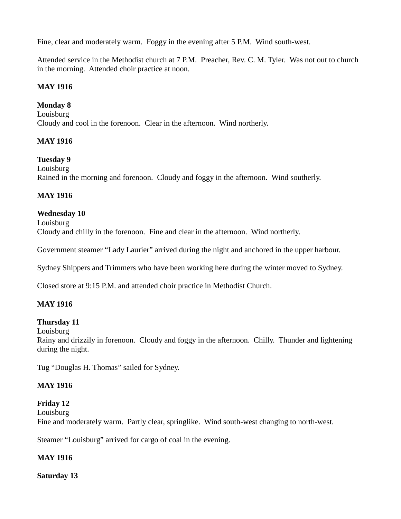Fine, clear and moderately warm. Foggy in the evening after 5 P.M. Wind south-west.

Attended service in the Methodist church at 7 P.M. Preacher, Rev. C. M. Tyler. Was not out to church in the morning. Attended choir practice at noon.

### **MAY 1916**

#### **Monday 8**

Louisburg Cloudy and cool in the forenoon. Clear in the afternoon. Wind northerly.

#### **MAY 1916**

**Tuesday 9** Louisburg Rained in the morning and forenoon. Cloudy and foggy in the afternoon. Wind southerly.

### **MAY 1916**

**Wednesday 10** Louisburg Cloudy and chilly in the forenoon. Fine and clear in the afternoon. Wind northerly.

Government steamer "Lady Laurier" arrived during the night and anchored in the upper harbour.

Sydney Shippers and Trimmers who have been working here during the winter moved to Sydney.

Closed store at 9:15 P.M. and attended choir practice in Methodist Church.

### **MAY 1916**

### **Thursday 11**

**Louisburg** 

Rainy and drizzily in forenoon. Cloudy and foggy in the afternoon. Chilly. Thunder and lightening during the night.

Tug "Douglas H. Thomas" sailed for Sydney.

### **MAY 1916**

### **Friday 12**

Louisburg Fine and moderately warm. Partly clear, springlike. Wind south-west changing to north-west.

Steamer "Louisburg" arrived for cargo of coal in the evening.

### **MAY 1916**

**Saturday 13**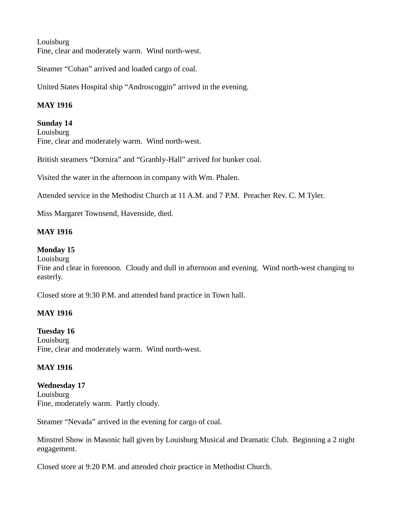Louisburg Fine, clear and moderately warm. Wind north-west.

Steamer "Cohan" arrived and loaded cargo of coal.

United States Hospital ship "Androscoggin" arrived in the evening.

# **MAY 1916**

**Sunday 14** Louisburg Fine, clear and moderately warm. Wind north-west.

British steamers "Dornira" and "Granbly-Hall" arrived for bunker coal.

Visited the water in the afternoon in company with Wm. Phalen.

Attended service in the Methodist Church at 11 A.M. and 7 P.M. Preacher Rev. C. M Tyler.

Miss Margaret Townsend, Havenside, died.

# **MAY 1916**

### **Monday 15**

Louisburg

Fine and clear in forenoon. Cloudy and dull in afternoon and evening. Wind north-west changing to easterly.

Closed store at 9:30 P.M. and attended band practice in Town hall.

### **MAY 1916**

### **Tuesday 16**

Louisburg Fine, clear and moderately warm. Wind north-west.

# **MAY 1916**

**Wednesday 17** Louisburg Fine, moderately warm. Partly cloudy.

Steamer "Nevada" arrived in the evening for cargo of coal.

Minstrel Show in Masonic hall given by Louisburg Musical and Dramatic Club. Beginning a 2 night engagement.

Closed store at 9:20 P.M. and attended choir practice in Methodist Church.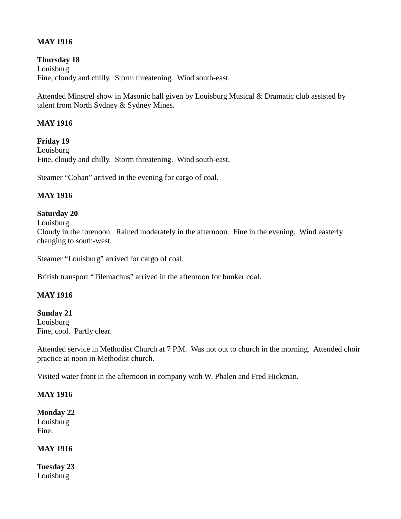# **MAY 1916**

**Thursday 18** Louisburg Fine, cloudy and chilly. Storm threatening. Wind south-east.

Attended Minstrel show in Masonic hall given by Louisburg Musical & Dramatic club assisted by talent from North Sydney & Sydney Mines.

### **MAY 1916**

**Friday 19 Louisburg** Fine, cloudy and chilly. Storm threatening. Wind south-east.

Steamer "Cohan" arrived in the evening for cargo of coal.

### **MAY 1916**

#### **Saturday 20**

Louisburg

Cloudy in the forenoon. Rained moderately in the afternoon. Fine in the evening. Wind easterly changing to south-west.

Steamer "Louisburg" arrived for cargo of coal.

British transport "Tilemachus" arrived in the afternoon for bunker coal.

### **MAY 1916**

**Sunday 21** Louisburg Fine, cool. Partly clear.

Attended service in Methodist Church at 7 P.M. Was not out to church in the morning. Attended choir practice at noon in Methodist church.

Visited water front in the afternoon in company with W. Phalen and Fred Hickman.

#### **MAY 1916**

**Monday 22** Louisburg Fine.

### **MAY 1916**

**Tuesday 23** Louisburg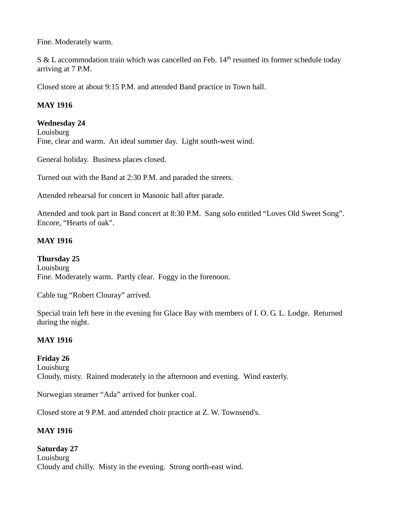Fine. Moderately warm.

S & L accommodation train which was cancelled on Feb. 14<sup>th</sup> resumed its former schedule today arriving at 7 P.M.

Closed store at about 9:15 P.M. and attended Band practice in Town hall.

# **MAY 1916**

## **Wednesday 24**

Louisburg Fine, clear and warm. An ideal summer day. Light south-west wind.

General holiday. Business places closed.

Turned out with the Band at 2:30 P.M. and paraded the streets.

Attended rehearsal for concert in Masonic hall after parade.

Attended and took part in Band concert at 8:30 P.M. Sang solo entitled "Loves Old Sweet Song". Encore, "Hearts of oak".

## **MAY 1916**

**Thursday 25** Louisburg Fine. Moderately warm. Partly clear. Foggy in the forenoon.

Cable tug "Robert Clouray" arrived.

Special train left here in the evening for Glace Bay with members of I. O. G. L. Lodge. Returned during the night.

## **MAY 1916**

**Friday 26** Louisburg Cloudy, misty. Rained moderately in the afternoon and evening. Wind easterly.

Norwegian steamer "Ada" arrived for bunker coal.

Closed store at 9 P.M. and attended choir practice at Z. W. Townsend's.

## **MAY 1916**

## **Saturday 27**

**Louisburg** Cloudy and chilly. Misty in the evening. Strong north-east wind.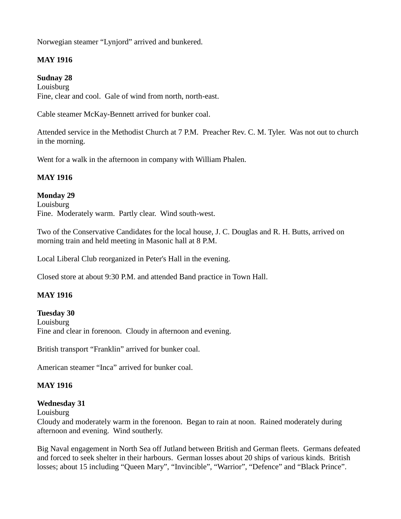Norwegian steamer "Lynjord" arrived and bunkered.

# **MAY 1916**

## **Sudnay 28**

Louisburg Fine, clear and cool. Gale of wind from north, north-east.

Cable steamer McKay-Bennett arrived for bunker coal.

Attended service in the Methodist Church at 7 P.M. Preacher Rev. C. M. Tyler. Was not out to church in the morning.

Went for a walk in the afternoon in company with William Phalen.

# **MAY 1916**

**Monday 29** Louisburg Fine. Moderately warm. Partly clear. Wind south-west.

Two of the Conservative Candidates for the local house, J. C. Douglas and R. H. Butts, arrived on morning train and held meeting in Masonic hall at 8 P.M.

Local Liberal Club reorganized in Peter's Hall in the evening.

Closed store at about 9:30 P.M. and attended Band practice in Town Hall.

## **MAY 1916**

**Tuesday 30** Louisburg Fine and clear in forenoon. Cloudy in afternoon and evening.

British transport "Franklin" arrived for bunker coal.

American steamer "Inca" arrived for bunker coal.

# **MAY 1916**

## **Wednesday 31**

Louisburg

Cloudy and moderately warm in the forenoon. Began to rain at noon. Rained moderately during afternoon and evening. Wind southerly.

Big Naval engagement in North Sea off Jutland between British and German fleets. Germans defeated and forced to seek shelter in their harbours. German losses about 20 ships of various kinds. British losses; about 15 including "Queen Mary", "Invincible", "Warrior", "Defence" and "Black Prince".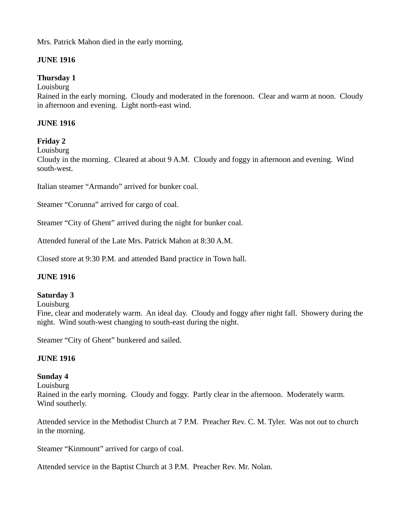# Mrs. Patrick Mahon died in the early morning.

# **JUNE 1916**

# **Thursday 1**

Louisburg

Rained in the early morning. Cloudy and moderated in the forenoon. Clear and warm at noon. Cloudy in afternoon and evening. Light north-east wind.

## **JUNE 1916**

## **Friday 2**

**Louisburg** 

Cloudy in the morning. Cleared at about 9 A.M. Cloudy and foggy in afternoon and evening. Wind south-west.

Italian steamer "Armando" arrived for bunker coal.

Steamer "Corunna" arrived for cargo of coal.

Steamer "City of Ghent" arrived during the night for bunker coal.

Attended funeral of the Late Mrs. Patrick Mahon at 8:30 A.M.

Closed store at 9:30 P.M. and attended Band practice in Town hall.

## **JUNE 1916**

#### **Saturday 3**

Louisburg

Fine, clear and moderately warm. An ideal day. Cloudy and foggy after night fall. Showery during the night. Wind south-west changing to south-east during the night.

Steamer "City of Ghent" bunkered and sailed.

#### **JUNE 1916**

#### **Sunday 4**

Louisburg Rained in the early morning. Cloudy and foggy. Partly clear in the afternoon. Moderately warm. Wind southerly.

Attended service in the Methodist Church at 7 P.M. Preacher Rev. C. M. Tyler. Was not out to church in the morning.

Steamer "Kinmount" arrived for cargo of coal.

Attended service in the Baptist Church at 3 P.M. Preacher Rev. Mr. Nolan.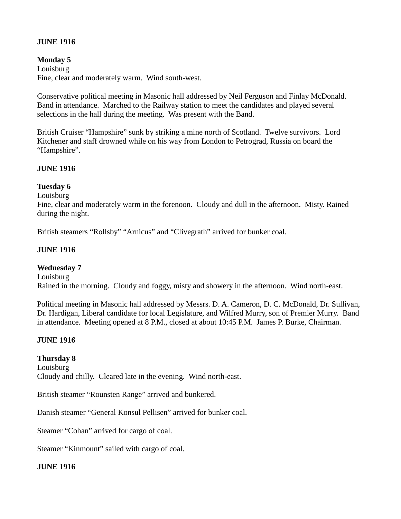## **JUNE 1916**

## **Monday 5**

Louisburg Fine, clear and moderately warm. Wind south-west.

Conservative political meeting in Masonic hall addressed by Neil Ferguson and Finlay McDonald. Band in attendance. Marched to the Railway station to meet the candidates and played several selections in the hall during the meeting. Was present with the Band.

British Cruiser "Hampshire" sunk by striking a mine north of Scotland. Twelve survivors. Lord Kitchener and staff drowned while on his way from London to Petrograd, Russia on board the "Hampshire".

## **JUNE 1916**

## **Tuesday 6**

**Louisburg** 

Fine, clear and moderately warm in the forenoon. Cloudy and dull in the afternoon. Misty. Rained during the night.

British steamers "Rollsby" "Arnicus" and "Clivegrath" arrived for bunker coal.

## **JUNE 1916**

#### **Wednesday 7**

Louisburg Rained in the morning. Cloudy and foggy, misty and showery in the afternoon. Wind north-east.

Political meeting in Masonic hall addressed by Messrs. D. A. Cameron, D. C. McDonald, Dr. Sullivan, Dr. Hardigan, Liberal candidate for local Legislature, and Wilfred Murry, son of Premier Murry. Band in attendance. Meeting opened at 8 P.M., closed at about 10:45 P.M. James P. Burke, Chairman.

## **JUNE 1916**

## **Thursday 8**

Louisburg Cloudy and chilly. Cleared late in the evening. Wind north-east.

British steamer "Rounsten Range" arrived and bunkered.

Danish steamer "General Konsul Pellisen" arrived for bunker coal.

Steamer "Cohan" arrived for cargo of coal.

Steamer "Kinmount" sailed with cargo of coal.

#### **JUNE 1916**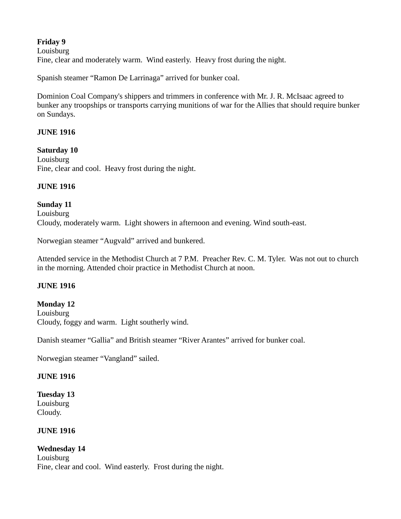# **Friday 9**

Louisburg

Fine, clear and moderately warm. Wind easterly. Heavy frost during the night.

Spanish steamer "Ramon De Larrinaga" arrived for bunker coal.

Dominion Coal Company's shippers and trimmers in conference with Mr. J. R. McIsaac agreed to bunker any troopships or transports carrying munitions of war for the Allies that should require bunker on Sundays.

## **JUNE 1916**

**Saturday 10** Louisburg Fine, clear and cool. Heavy frost during the night.

## **JUNE 1916**

# **Sunday 11** Louisburg Cloudy, moderately warm. Light showers in afternoon and evening. Wind south-east.

Norwegian steamer "Augvald" arrived and bunkered.

Attended service in the Methodist Church at 7 P.M. Preacher Rev. C. M. Tyler. Was not out to church in the morning. Attended choir practice in Methodist Church at noon.

## **JUNE 1916**

#### **Monday 12** Louisburg

Cloudy, foggy and warm. Light southerly wind.

Danish steamer "Gallia" and British steamer "River Arantes" arrived for bunker coal.

Norwegian steamer "Vangland" sailed.

#### **JUNE 1916**

## **Tuesday 13** Louisburg Cloudy.

#### **JUNE 1916**

## **Wednesday 14**

Louisburg Fine, clear and cool. Wind easterly. Frost during the night.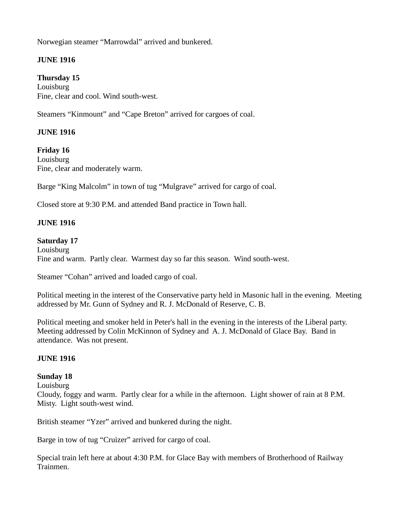Norwegian steamer "Marrowdal" arrived and bunkered.

# **JUNE 1916**

# **Thursday 15**

Louisburg Fine, clear and cool. Wind south-west.

Steamers "Kinmount" and "Cape Breton" arrived for cargoes of coal.

# **JUNE 1916**

**Friday 16** Louisburg Fine, clear and moderately warm.

Barge "King Malcolm" in town of tug "Mulgrave" arrived for cargo of coal.

Closed store at 9:30 P.M. and attended Band practice in Town hall.

# **JUNE 1916**

## **Saturday 17**

Louisburg Fine and warm. Partly clear. Warmest day so far this season. Wind south-west.

Steamer "Cohan" arrived and loaded cargo of coal.

Political meeting in the interest of the Conservative party held in Masonic hall in the evening. Meeting addressed by Mr. Gunn of Sydney and R. J. McDonald of Reserve, C. B.

Political meeting and smoker held in Peter's hall in the evening in the interests of the Liberal party. Meeting addressed by Colin McKinnon of Sydney and A. J. McDonald of Glace Bay. Band in attendance. Was not present.

## **JUNE 1916**

## **Sunday 18**

Louisburg

Cloudy, foggy and warm. Partly clear for a while in the afternoon. Light shower of rain at 8 P.M. Misty. Light south-west wind.

British steamer "Yzer" arrived and bunkered during the night.

Barge in tow of tug "Cruizer" arrived for cargo of coal.

Special train left here at about 4:30 P.M. for Glace Bay with members of Brotherhood of Railway Trainmen.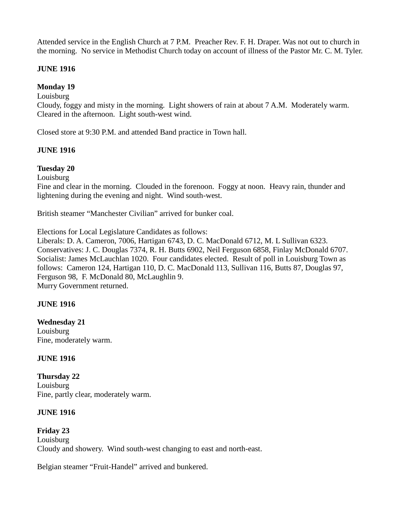Attended service in the English Church at 7 P.M. Preacher Rev. F. H. Draper. Was not out to church in the morning. No service in Methodist Church today on account of illness of the Pastor Mr. C. M. Tyler.

## **JUNE 1916**

## **Monday 19**

Louisburg

Cloudy, foggy and misty in the morning. Light showers of rain at about 7 A.M. Moderately warm. Cleared in the afternoon. Light south-west wind.

Closed store at 9:30 P.M. and attended Band practice in Town hall.

## **JUNE 1916**

## **Tuesday 20**

Louisburg

Fine and clear in the morning. Clouded in the forenoon. Foggy at noon. Heavy rain, thunder and lightening during the evening and night. Wind south-west.

British steamer "Manchester Civilian" arrived for bunker coal.

Elections for Local Legislature Candidates as follows:

Liberals: D. A. Cameron, 7006, Hartigan 6743, D. C. MacDonald 6712, M. L Sullivan 6323. Conservatives: J. C. Douglas 7374, R. H. Butts 6902, Neil Ferguson 6858, Finlay McDonald 6707. Socialist: James McLauchlan 1020. Four candidates elected. Result of poll in Louisburg Town as follows: Cameron 124, Hartigan 110, D. C. MacDonald 113, Sullivan 116, Butts 87, Douglas 97, Ferguson 98, F. McDonald 80, McLaughlin 9. Murry Government returned.

## **JUNE 1916**

#### **Wednesday 21**

Louisburg Fine, moderately warm.

#### **JUNE 1916**

**Thursday 22** Louisburg Fine, partly clear, moderately warm.

## **JUNE 1916**

**Friday 23 Louisburg** Cloudy and showery. Wind south-west changing to east and north-east.

Belgian steamer "Fruit-Handel" arrived and bunkered.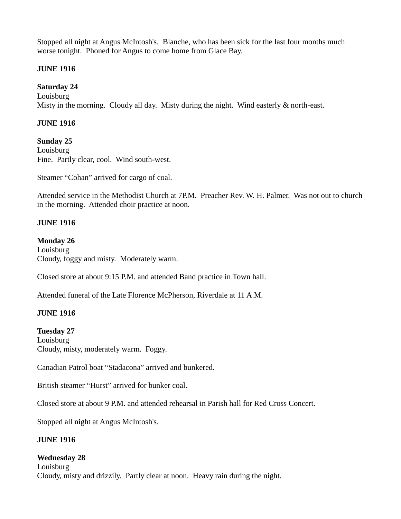Stopped all night at Angus McIntosh's. Blanche, who has been sick for the last four months much worse tonight. Phoned for Angus to come home from Glace Bay.

## **JUNE 1916**

# **Saturday 24**

Louisburg Misty in the morning. Cloudy all day. Misty during the night. Wind easterly & north-east.

# **JUNE 1916**

**Sunday 25 Louisburg** Fine. Partly clear, cool. Wind south-west.

Steamer "Cohan" arrived for cargo of coal.

Attended service in the Methodist Church at 7P.M. Preacher Rev. W. H. Palmer. Was not out to church in the morning. Attended choir practice at noon.

# **JUNE 1916**

## **Monday 26**

Louisburg Cloudy, foggy and misty. Moderately warm.

Closed store at about 9:15 P.M. and attended Band practice in Town hall.

Attended funeral of the Late Florence McPherson, Riverdale at 11 A.M.

## **JUNE 1916**

## **Tuesday 27**

Louisburg Cloudy, misty, moderately warm. Foggy.

Canadian Patrol boat "Stadacona" arrived and bunkered.

British steamer "Hurst" arrived for bunker coal.

Closed store at about 9 P.M. and attended rehearsal in Parish hall for Red Cross Concert.

Stopped all night at Angus McIntosh's.

## **JUNE 1916**

## **Wednesday 28**

**Louisburg** Cloudy, misty and drizzily. Partly clear at noon. Heavy rain during the night.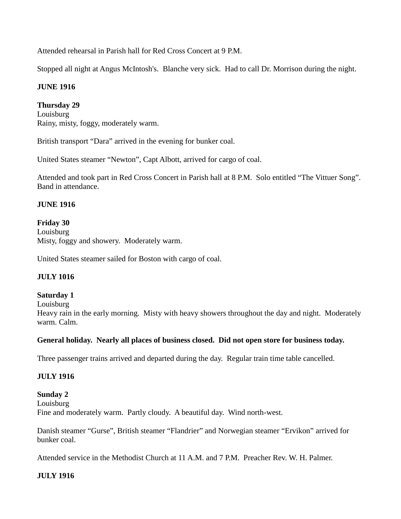Attended rehearsal in Parish hall for Red Cross Concert at 9 P.M.

Stopped all night at Angus McIntosh's. Blanche very sick. Had to call Dr. Morrison during the night.

# **JUNE 1916**

**Thursday 29** Louisburg Rainy, misty, foggy, moderately warm.

British transport "Dara" arrived in the evening for bunker coal.

United States steamer "Newton", Capt Albott, arrived for cargo of coal.

Attended and took part in Red Cross Concert in Parish hall at 8 P.M. Solo entitled "The Vittuer Song". Band in attendance.

## **JUNE 1916**

## **Friday 30**

Louisburg Misty, foggy and showery. Moderately warm.

United States steamer sailed for Boston with cargo of coal.

# **JULY 1016**

## **Saturday 1**

**Louisburg** 

Heavy rain in the early morning. Misty with heavy showers throughout the day and night. Moderately warm. Calm.

## **General holiday. Nearly all places of business closed. Did not open store for business today.**

Three passenger trains arrived and departed during the day. Regular train time table cancelled.

## **JULY 1916**

**Sunday 2** Louisburg Fine and moderately warm. Partly cloudy. A beautiful day. Wind north-west.

Danish steamer "Gurse", British steamer "Flandrier" and Norwegian steamer "Ervikon" arrived for bunker coal.

Attended service in the Methodist Church at 11 A.M. and 7 P.M. Preacher Rev. W. H. Palmer.

# **JULY 1916**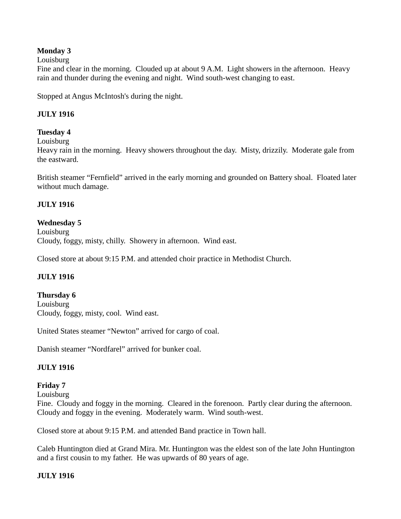## **Monday 3**

Louisburg

Fine and clear in the morning. Clouded up at about 9 A.M. Light showers in the afternoon. Heavy rain and thunder during the evening and night. Wind south-west changing to east.

Stopped at Angus McIntosh's during the night.

## **JULY 1916**

## **Tuesday 4**

Louisburg

Heavy rain in the morning. Heavy showers throughout the day. Misty, drizzily. Moderate gale from the eastward.

British steamer "Fernfield" arrived in the early morning and grounded on Battery shoal. Floated later without much damage.

## **JULY 1916**

## **Wednesday 5**

Louisburg Cloudy, foggy, misty, chilly. Showery in afternoon. Wind east.

Closed store at about 9:15 P.M. and attended choir practice in Methodist Church.

## **JULY 1916**

**Thursday 6** Louisburg Cloudy, foggy, misty, cool. Wind east.

United States steamer "Newton" arrived for cargo of coal.

Danish steamer "Nordfarel" arrived for bunker coal.

## **JULY 1916**

## **Friday 7**

Louisburg

Fine. Cloudy and foggy in the morning. Cleared in the forenoon. Partly clear during the afternoon. Cloudy and foggy in the evening. Moderately warm. Wind south-west.

Closed store at about 9:15 P.M. and attended Band practice in Town hall.

Caleb Huntington died at Grand Mira. Mr. Huntington was the eldest son of the late John Huntington and a first cousin to my father. He was upwards of 80 years of age.

## **JULY 1916**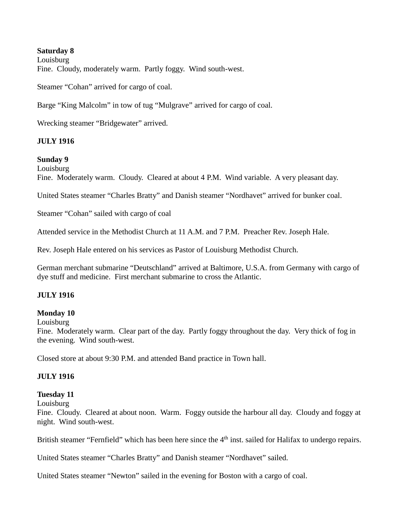## **Saturday 8**

Louisburg Fine. Cloudy, moderately warm. Partly foggy. Wind south-west.

Steamer "Cohan" arrived for cargo of coal.

Barge "King Malcolm" in tow of tug "Mulgrave" arrived for cargo of coal.

Wrecking steamer "Bridgewater" arrived.

## **JULY 1916**

#### **Sunday 9**

**Louisburg** 

Fine. Moderately warm. Cloudy. Cleared at about 4 P.M. Wind variable. A very pleasant day.

United States steamer "Charles Bratty" and Danish steamer "Nordhavet" arrived for bunker coal.

Steamer "Cohan" sailed with cargo of coal

Attended service in the Methodist Church at 11 A.M. and 7 P.M. Preacher Rev. Joseph Hale.

Rev. Joseph Hale entered on his services as Pastor of Louisburg Methodist Church.

German merchant submarine "Deutschland" arrived at Baltimore, U.S.A. from Germany with cargo of dye stuff and medicine. First merchant submarine to cross the Atlantic.

## **JULY 1916**

#### **Monday 10**

Louisburg

Fine. Moderately warm. Clear part of the day. Partly foggy throughout the day. Very thick of fog in the evening. Wind south-west.

Closed store at about 9:30 P.M. and attended Band practice in Town hall.

#### **JULY 1916**

#### **Tuesday 11**

Louisburg

Fine. Cloudy. Cleared at about noon. Warm. Foggy outside the harbour all day. Cloudy and foggy at night. Wind south-west.

British steamer "Fernfield" which has been here since the  $4<sup>th</sup>$  inst. sailed for Halifax to undergo repairs.

United States steamer "Charles Bratty" and Danish steamer "Nordhavet" sailed.

United States steamer "Newton" sailed in the evening for Boston with a cargo of coal.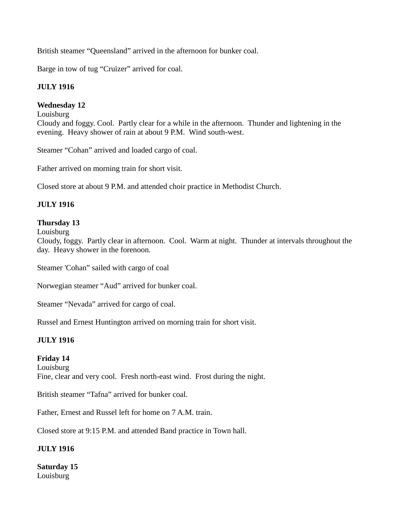British steamer "Queensland" arrived in the afternoon for bunker coal.

Barge in tow of tug "Cruizer" arrived for coal.

# **JULY 1916**

# **Wednesday 12**

Louisburg Cloudy and foggy. Cool. Partly clear for a while in the afternoon. Thunder and lightening in the evening. Heavy shower of rain at about 9 P.M. Wind south-west.

Steamer "Cohan" arrived and loaded cargo of coal.

Father arrived on morning train for short visit.

Closed store at about 9 P.M. and attended choir practice in Methodist Church.

# **JULY 1916**

# **Thursday 13**

Louisburg

Cloudy, foggy. Partly clear in afternoon. Cool. Warm at night. Thunder at intervals throughout the day. Heavy shower in the forenoon.

Steamer 'Cohan" sailed with cargo of coal

Norwegian steamer "Aud" arrived for bunker coal.

Steamer "Nevada" arrived for cargo of coal.

Russel and Ernest Huntington arrived on morning train for short visit.

# **JULY 1916**

# **Friday 14**

Louisburg Fine, clear and very cool. Fresh north-east wind. Frost during the night.

British steamer "Tafna" arrived for bunker coal.

Father, Ernest and Russel left for home on 7 A.M. train.

Closed store at 9:15 P.M. and attended Band practice in Town hall.

# **JULY 1916**

**Saturday 15** Louisburg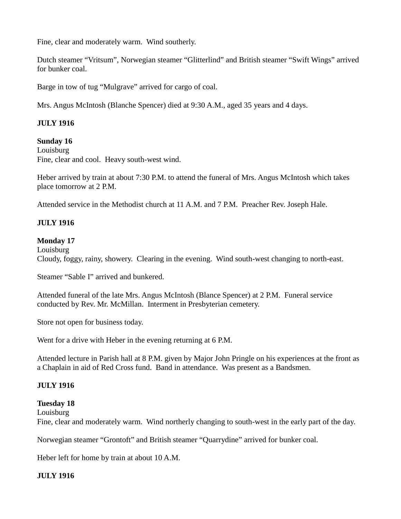Fine, clear and moderately warm. Wind southerly.

Dutch steamer "Vritsum", Norwegian steamer "Glitterlind" and British steamer "Swift Wings" arrived for bunker coal.

Barge in tow of tug "Mulgrave" arrived for cargo of coal.

Mrs. Angus McIntosh (Blanche Spencer) died at 9:30 A.M., aged 35 years and 4 days.

## **JULY 1916**

#### **Sunday 16**

**Louisburg** Fine, clear and cool. Heavy south-west wind.

Heber arrived by train at about 7:30 P.M. to attend the funeral of Mrs. Angus McIntosh which takes place tomorrow at 2 P.M.

Attended service in the Methodist church at 11 A.M. and 7 P.M. Preacher Rev. Joseph Hale.

## **JULY 1916**

## **Monday 17**

Louisburg Cloudy, foggy, rainy, showery. Clearing in the evening. Wind south-west changing to north-east.

Steamer "Sable I" arrived and bunkered.

Attended funeral of the late Mrs. Angus McIntosh (Blance Spencer) at 2 P.M. Funeral service conducted by Rev. Mr. McMillan. Interment in Presbyterian cemetery.

Store not open for business today.

Went for a drive with Heber in the evening returning at 6 P.M.

Attended lecture in Parish hall at 8 P.M. given by Major John Pringle on his experiences at the front as a Chaplain in aid of Red Cross fund. Band in attendance. Was present as a Bandsmen.

## **JULY 1916**

## **Tuesday 18**

Louisburg Fine, clear and moderately warm. Wind northerly changing to south-west in the early part of the day.

Norwegian steamer "Grontoft" and British steamer "Quarrydine" arrived for bunker coal.

Heber left for home by train at about 10 A.M.

## **JULY 1916**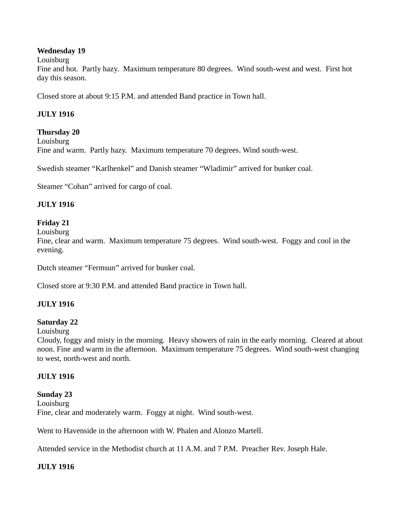## **Wednesday 19**

Louisburg

Fine and hot. Partly hazy. Maximum temperature 80 degrees. Wind south-west and west. First hot day this season.

Closed store at about 9:15 P.M. and attended Band practice in Town hall.

# **JULY 1916**

## **Thursday 20**

Louisburg Fine and warm. Partly hazy. Maximum temperature 70 degrees. Wind south-west.

Swedish steamer "Karlhenkel" and Danish steamer "Wladimir" arrived for bunker coal.

Steamer "Cohan" arrived for cargo of coal.

## **JULY 1916**

## **Friday 21**

Louisburg

Fine, clear and warm. Maximum temperature 75 degrees. Wind south-west. Foggy and cool in the evening.

Dutch steamer "Fermsun" arrived for bunker coal.

Closed store at 9:30 P.M. and attended Band practice in Town hall.

## **JULY 1916**

## **Saturday 22**

Louisburg

Cloudy, foggy and misty in the morning. Heavy showers of rain in the early morning. Cleared at about noon. Fine and warm in the afternoon. Maximum temperature 75 degrees. Wind south-west changing to west, north-west and north.

## **JULY 1916**

**Sunday 23** Louisburg Fine, clear and moderately warm. Foggy at night. Wind south-west.

Went to Havenside in the afternoon with W. Phalen and Alonzo Martell.

Attended service in the Methodist church at 11 A.M. and 7 P.M. Preacher Rev. Joseph Hale.

## **JULY 1916**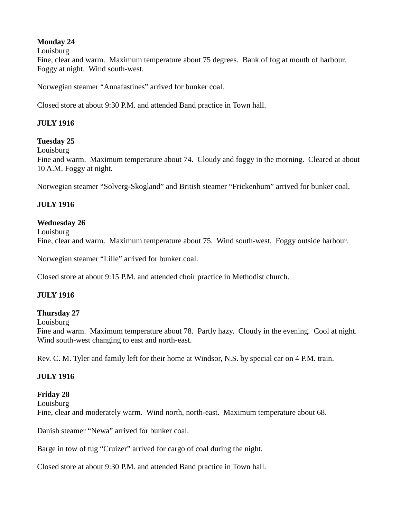# **Monday 24**

Louisburg

Fine, clear and warm. Maximum temperature about 75 degrees. Bank of fog at mouth of harbour. Foggy at night. Wind south-west.

Norwegian steamer "Annafastines" arrived for bunker coal.

Closed store at about 9:30 P.M. and attended Band practice in Town hall.

# **JULY 1916**

## **Tuesday 25**

Louisburg

Fine and warm. Maximum temperature about 74. Cloudy and foggy in the morning. Cleared at about 10 A.M. Foggy at night.

Norwegian steamer "Solverg-Skogland" and British steamer "Frickenhum" arrived for bunker coal.

## **JULY 1916**

## **Wednesday 26**

Louisburg Fine, clear and warm. Maximum temperature about 75. Wind south-west. Foggy outside harbour.

Norwegian steamer "Lille" arrived for bunker coal.

Closed store at about 9:15 P.M. and attended choir practice in Methodist church.

## **JULY 1916**

## **Thursday 27**

Louisburg

Fine and warm. Maximum temperature about 78. Partly hazy. Cloudy in the evening. Cool at night. Wind south-west changing to east and north-east.

Rev. C. M. Tyler and family left for their home at Windsor, N.S. by special car on 4 P.M. train.

## **JULY 1916**

## **Friday 28**

Louisburg Fine, clear and moderately warm. Wind north, north-east. Maximum temperature about 68.

Danish steamer "Newa" arrived for bunker coal.

Barge in tow of tug "Cruizer" arrived for cargo of coal during the night.

Closed store at about 9:30 P.M. and attended Band practice in Town hall.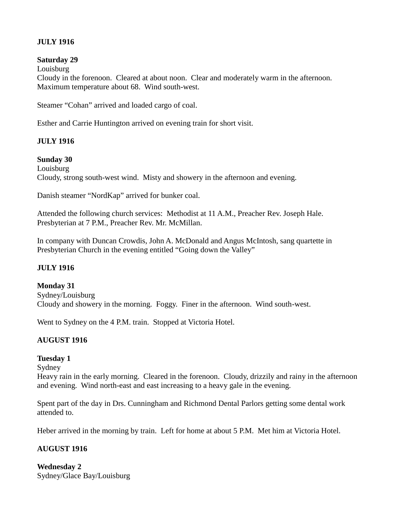# **JULY 1916**

## **Saturday 29**

Louisburg

Cloudy in the forenoon. Cleared at about noon. Clear and moderately warm in the afternoon. Maximum temperature about 68. Wind south-west.

Steamer "Cohan" arrived and loaded cargo of coal.

Esther and Carrie Huntington arrived on evening train for short visit.

## **JULY 1916**

#### **Sunday 30**

**Louisburg** Cloudy, strong south-west wind. Misty and showery in the afternoon and evening.

Danish steamer "NordKap" arrived for bunker coal.

Attended the following church services: Methodist at 11 A.M., Preacher Rev. Joseph Hale. Presbyterian at 7 P.M., Preacher Rev. Mr. McMillan.

In company with Duncan Crowdis, John A. McDonald and Angus McIntosh, sang quartette in Presbyterian Church in the evening entitled "Going down the Valley"

## **JULY 1916**

**Monday 31** Sydney/Louisburg Cloudy and showery in the morning. Foggy. Finer in the afternoon. Wind south-west.

Went to Sydney on the 4 P.M. train. Stopped at Victoria Hotel.

## **AUGUST 1916**

## **Tuesday 1**

Sydney

Heavy rain in the early morning. Cleared in the forenoon. Cloudy, drizzily and rainy in the afternoon and evening. Wind north-east and east increasing to a heavy gale in the evening.

Spent part of the day in Drs. Cunningham and Richmond Dental Parlors getting some dental work attended to.

Heber arrived in the morning by train. Left for home at about 5 P.M. Met him at Victoria Hotel.

## **AUGUST 1916**

**Wednesday 2** Sydney/Glace Bay/Louisburg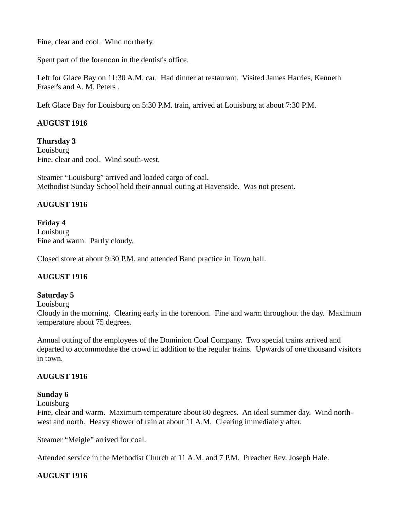Fine, clear and cool. Wind northerly.

Spent part of the forenoon in the dentist's office.

Left for Glace Bay on 11:30 A.M. car. Had dinner at restaurant. Visited James Harries, Kenneth Fraser's and A. M. Peters .

Left Glace Bay for Louisburg on 5:30 P.M. train, arrived at Louisburg at about 7:30 P.M.

# **AUGUST 1916**

**Thursday 3 Louisburg** Fine, clear and cool. Wind south-west.

Steamer "Louisburg" arrived and loaded cargo of coal. Methodist Sunday School held their annual outing at Havenside. Was not present.

## **AUGUST 1916**

**Friday 4** Louisburg Fine and warm. Partly cloudy.

Closed store at about 9:30 P.M. and attended Band practice in Town hall.

## **AUGUST 1916**

## **Saturday 5**

Louisburg

Cloudy in the morning. Clearing early in the forenoon. Fine and warm throughout the day. Maximum temperature about 75 degrees.

Annual outing of the employees of the Dominion Coal Company. Two special trains arrived and departed to accommodate the crowd in addition to the regular trains. Upwards of one thousand visitors in town.

## **AUGUST 1916**

#### **Sunday 6**

Louisburg

Fine, clear and warm. Maximum temperature about 80 degrees. An ideal summer day. Wind northwest and north. Heavy shower of rain at about 11 A.M. Clearing immediately after.

Steamer "Meigle" arrived for coal.

Attended service in the Methodist Church at 11 A.M. and 7 P.M. Preacher Rev. Joseph Hale.

## **AUGUST 1916**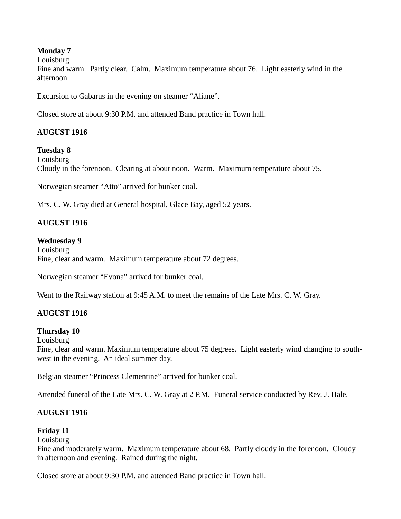## **Monday 7**

Louisburg

Fine and warm. Partly clear. Calm. Maximum temperature about 76. Light easterly wind in the afternoon.

Excursion to Gabarus in the evening on steamer "Aliane".

Closed store at about 9:30 P.M. and attended Band practice in Town hall.

## **AUGUST 1916**

## **Tuesday 8**

Louisburg Cloudy in the forenoon. Clearing at about noon. Warm. Maximum temperature about 75.

Norwegian steamer "Atto" arrived for bunker coal.

Mrs. C. W. Gray died at General hospital, Glace Bay, aged 52 years.

## **AUGUST 1916**

#### **Wednesday 9**

Louisburg Fine, clear and warm. Maximum temperature about 72 degrees.

Norwegian steamer "Evona" arrived for bunker coal.

Went to the Railway station at 9:45 A.M. to meet the remains of the Late Mrs. C. W. Gray.

## **AUGUST 1916**

#### **Thursday 10**

Louisburg

Fine, clear and warm. Maximum temperature about 75 degrees. Light easterly wind changing to southwest in the evening. An ideal summer day.

Belgian steamer "Princess Clementine" arrived for bunker coal.

Attended funeral of the Late Mrs. C. W. Gray at 2 P.M. Funeral service conducted by Rev. J. Hale.

## **AUGUST 1916**

## **Friday 11**

#### **Louisburg**

Fine and moderately warm. Maximum temperature about 68. Partly cloudy in the forenoon. Cloudy in afternoon and evening. Rained during the night.

Closed store at about 9:30 P.M. and attended Band practice in Town hall.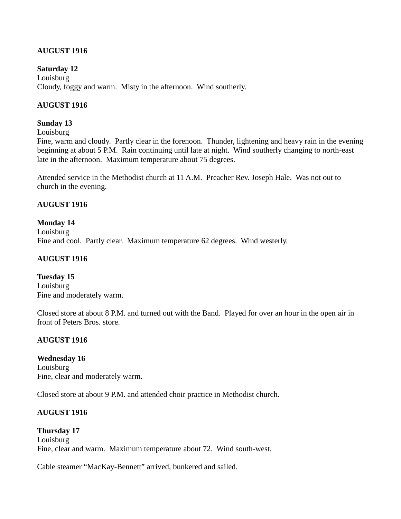# **AUGUST 1916**

### **Saturday 12**

**Louisburg** Cloudy, foggy and warm. Misty in the afternoon. Wind southerly.

## **AUGUST 1916**

#### **Sunday 13**

Louisburg

Fine, warm and cloudy. Partly clear in the forenoon. Thunder, lightening and heavy rain in the evening beginning at about 5 P.M. Rain continuing until late at night. Wind southerly changing to north-east late in the afternoon. Maximum temperature about 75 degrees.

Attended service in the Methodist church at 11 A.M. Preacher Rev. Joseph Hale. Was not out to church in the evening.

#### **AUGUST 1916**

#### **Monday 14**

Louisburg Fine and cool. Partly clear. Maximum temperature 62 degrees. Wind westerly.

#### **AUGUST 1916**

**Tuesday 15 Louisburg** Fine and moderately warm.

Closed store at about 8 P.M. and turned out with the Band. Played for over an hour in the open air in front of Peters Bros. store.

#### **AUGUST 1916**

#### **Wednesday 16**

Louisburg Fine, clear and moderately warm.

Closed store at about 9 P.M. and attended choir practice in Methodist church.

#### **AUGUST 1916**

**Thursday 17 Louisburg** Fine, clear and warm. Maximum temperature about 72. Wind south-west.

Cable steamer "MacKay-Bennett" arrived, bunkered and sailed.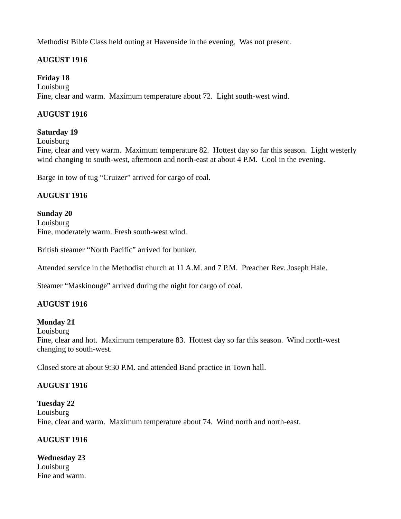Methodist Bible Class held outing at Havenside in the evening. Was not present.

# **AUGUST 1916**

# **Friday 18**

Louisburg Fine, clear and warm. Maximum temperature about 72. Light south-west wind.

# **AUGUST 1916**

## **Saturday 19**

Louisburg

Fine, clear and very warm. Maximum temperature 82. Hottest day so far this season. Light westerly wind changing to south-west, afternoon and north-east at about 4 P.M. Cool in the evening.

Barge in tow of tug "Cruizer" arrived for cargo of coal.

# **AUGUST 1916**

**Sunday 20** Louisburg Fine, moderately warm. Fresh south-west wind.

British steamer "North Pacific" arrived for bunker.

Attended service in the Methodist church at 11 A.M. and 7 P.M. Preacher Rev. Joseph Hale.

Steamer "Maskinouge" arrived during the night for cargo of coal.

## **AUGUST 1916**

## **Monday 21**

Louisburg

Fine, clear and hot. Maximum temperature 83. Hottest day so far this season. Wind north-west changing to south-west.

Closed store at about 9:30 P.M. and attended Band practice in Town hall.

## **AUGUST 1916**

**Tuesday 22** Louisburg Fine, clear and warm. Maximum temperature about 74. Wind north and north-east.

## **AUGUST 1916**

**Wednesday 23 Louisburg** Fine and warm.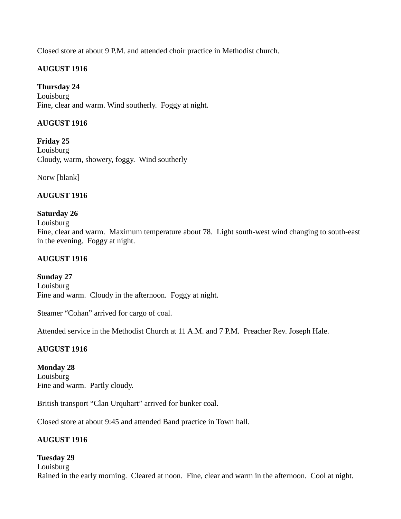Closed store at about 9 P.M. and attended choir practice in Methodist church.

# **AUGUST 1916**

**Thursday 24** Louisburg Fine, clear and warm. Wind southerly. Foggy at night.

# **AUGUST 1916**

**Friday 25** Louisburg Cloudy, warm, showery, foggy. Wind southerly

Norw [blank]

# **AUGUST 1916**

## **Saturday 26**

#### Louisburg

Fine, clear and warm. Maximum temperature about 78. Light south-west wind changing to south-east in the evening. Foggy at night.

## **AUGUST 1916**

**Sunday 27 Louisburg** Fine and warm. Cloudy in the afternoon. Foggy at night.

Steamer "Cohan" arrived for cargo of coal.

Attended service in the Methodist Church at 11 A.M. and 7 P.M. Preacher Rev. Joseph Hale.

## **AUGUST 1916**

**Monday 28** Louisburg Fine and warm. Partly cloudy.

British transport "Clan Urquhart" arrived for bunker coal.

Closed store at about 9:45 and attended Band practice in Town hall.

## **AUGUST 1916**

## **Tuesday 29**

**Louisburg** Rained in the early morning. Cleared at noon. Fine, clear and warm in the afternoon. Cool at night.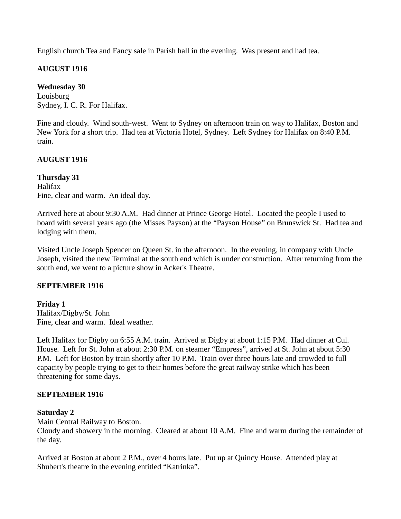English church Tea and Fancy sale in Parish hall in the evening. Was present and had tea.

# **AUGUST 1916**

# **Wednesday 30**

Louisburg Sydney, I. C. R. For Halifax.

Fine and cloudy. Wind south-west. Went to Sydney on afternoon train on way to Halifax, Boston and New York for a short trip. Had tea at Victoria Hotel, Sydney. Left Sydney for Halifax on 8:40 P.M. train.

## **AUGUST 1916**

**Thursday 31** Halifax Fine, clear and warm. An ideal day.

Arrived here at about 9:30 A.M. Had dinner at Prince George Hotel. Located the people I used to board with several years ago (the Misses Payson) at the "Payson House" on Brunswick St. Had tea and lodging with them.

Visited Uncle Joseph Spencer on Queen St. in the afternoon. In the evening, in company with Uncle Joseph, visited the new Terminal at the south end which is under construction. After returning from the south end, we went to a picture show in Acker's Theatre.

## **SEPTEMBER 1916**

**Friday 1** Halifax/Digby/St. John Fine, clear and warm. Ideal weather.

Left Halifax for Digby on 6:55 A.M. train. Arrived at Digby at about 1:15 P.M. Had dinner at Cul. House. Left for St. John at about 2:30 P.M. on steamer "Empress", arrived at St. John at about 5:30 P.M. Left for Boston by train shortly after 10 P.M. Train over three hours late and crowded to full capacity by people trying to get to their homes before the great railway strike which has been threatening for some days.

## **SEPTEMBER 1916**

## **Saturday 2**

Main Central Railway to Boston.

Cloudy and showery in the morning. Cleared at about 10 A.M. Fine and warm during the remainder of the day.

Arrived at Boston at about 2 P.M., over 4 hours late. Put up at Quincy House. Attended play at Shubert's theatre in the evening entitled "Katrinka".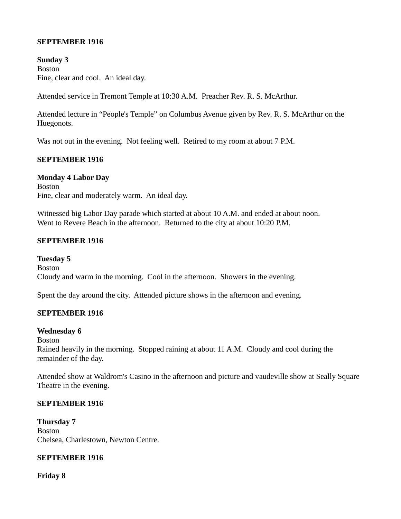## **SEPTEMBER 1916**

**Sunday 3** Boston Fine, clear and cool. An ideal day.

Attended service in Tremont Temple at 10:30 A.M. Preacher Rev. R. S. McArthur.

Attended lecture in "People's Temple" on Columbus Avenue given by Rev. R. S. McArthur on the Huegonots.

Was not out in the evening. Not feeling well. Retired to my room at about 7 P.M.

#### **SEPTEMBER 1916**

#### **Monday 4 Labor Day**

Boston Fine, clear and moderately warm. An ideal day.

Witnessed big Labor Day parade which started at about 10 A.M. and ended at about noon. Went to Revere Beach in the afternoon. Returned to the city at about 10:20 P.M.

#### **SEPTEMBER 1916**

**Tuesday 5** Boston Cloudy and warm in the morning. Cool in the afternoon. Showers in the evening.

Spent the day around the city. Attended picture shows in the afternoon and evening.

#### **SEPTEMBER 1916**

#### **Wednesday 6**

Boston

Rained heavily in the morning. Stopped raining at about 11 A.M. Cloudy and cool during the remainder of the day.

Attended show at Waldrom's Casino in the afternoon and picture and vaudeville show at Seally Square Theatre in the evening.

#### **SEPTEMBER 1916**

**Thursday 7** Boston Chelsea, Charlestown, Newton Centre.

#### **SEPTEMBER 1916**

**Friday 8**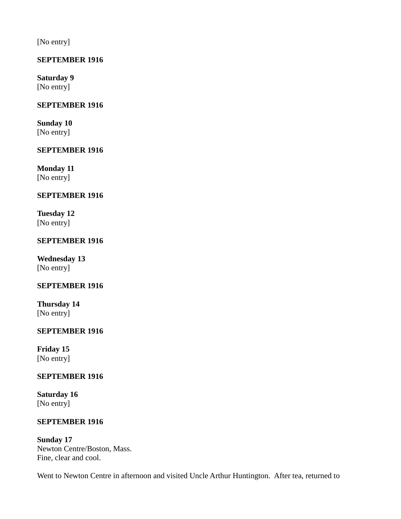[No entry]

# **SEPTEMBER 1916**

**Saturday 9** [No entry]

## **SEPTEMBER 1916**

**Sunday 10** [No entry]

## **SEPTEMBER 1916**

**Monday 11** [No entry]

## **SEPTEMBER 1916**

**Tuesday 12** [No entry]

## **SEPTEMBER 1916**

**Wednesday 13** [No entry]

## **SEPTEMBER 1916**

**Thursday 14** [No entry]

## **SEPTEMBER 1916**

**Friday 15** [No entry]

## **SEPTEMBER 1916**

**Saturday 16** [No entry]

## **SEPTEMBER 1916**

**Sunday 17** Newton Centre/Boston, Mass. Fine, clear and cool.

Went to Newton Centre in afternoon and visited Uncle Arthur Huntington. After tea, returned to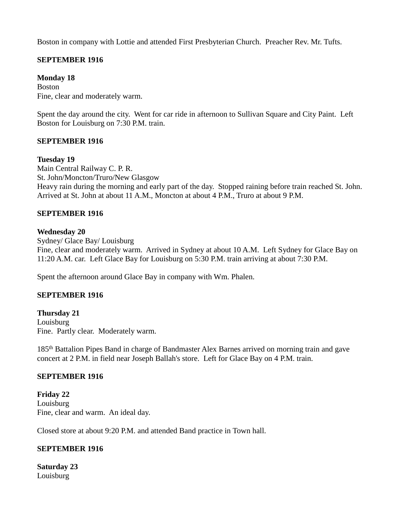Boston in company with Lottie and attended First Presbyterian Church. Preacher Rev. Mr. Tufts.

## **SEPTEMBER 1916**

### **Monday 18**

Boston Fine, clear and moderately warm.

Spent the day around the city. Went for car ride in afternoon to Sullivan Square and City Paint. Left Boston for Louisburg on 7:30 P.M. train.

## **SEPTEMBER 1916**

#### **Tuesday 19**

Main Central Railway C. P. R. St. John/Moncton/Truro/New Glasgow Heavy rain during the morning and early part of the day. Stopped raining before train reached St. John. Arrived at St. John at about 11 A.M., Moncton at about 4 P.M., Truro at about 9 P.M.

## **SEPTEMBER 1916**

#### **Wednesday 20**

Sydney/ Glace Bay/ Louisburg Fine, clear and moderately warm. Arrived in Sydney at about 10 A.M. Left Sydney for Glace Bay on 11:20 A.M. car. Left Glace Bay for Louisburg on 5:30 P.M. train arriving at about 7:30 P.M.

Spent the afternoon around Glace Bay in company with Wm. Phalen.

## **SEPTEMBER 1916**

**Thursday 21** Louisburg Fine. Partly clear. Moderately warm.

185th Battalion Pipes Band in charge of Bandmaster Alex Barnes arrived on morning train and gave concert at 2 P.M. in field near Joseph Ballah's store. Left for Glace Bay on 4 P.M. train.

#### **SEPTEMBER 1916**

**Friday 22** Louisburg Fine, clear and warm. An ideal day.

Closed store at about 9:20 P.M. and attended Band practice in Town hall.

## **SEPTEMBER 1916**

**Saturday 23** Louisburg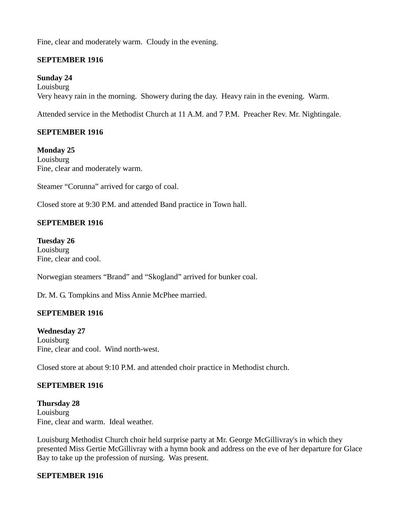Fine, clear and moderately warm. Cloudy in the evening.

## **SEPTEMBER 1916**

## **Sunday 24**

Louisburg Very heavy rain in the morning. Showery during the day. Heavy rain in the evening. Warm.

Attended service in the Methodist Church at 11 A.M. and 7 P.M. Preacher Rev. Mr. Nightingale.

## **SEPTEMBER 1916**

**Monday 25** Louisburg Fine, clear and moderately warm.

Steamer "Corunna" arrived for cargo of coal.

Closed store at 9:30 P.M. and attended Band practice in Town hall.

## **SEPTEMBER 1916**

**Tuesday 26** Louisburg Fine, clear and cool.

Norwegian steamers "Brand" and "Skogland" arrived for bunker coal.

Dr. M. G. Tompkins and Miss Annie McPhee married.

#### **SEPTEMBER 1916**

#### **Wednesday 27**

Louisburg Fine, clear and cool. Wind north-west.

Closed store at about 9:10 P.M. and attended choir practice in Methodist church.

## **SEPTEMBER 1916**

**Thursday 28** Louisburg Fine, clear and warm. Ideal weather.

Louisburg Methodist Church choir held surprise party at Mr. George McGillivray's in which they presented Miss Gertie McGillivray with a hymn book and address on the eve of her departure for Glace Bay to take up the profession of nursing. Was present.

#### **SEPTEMBER 1916**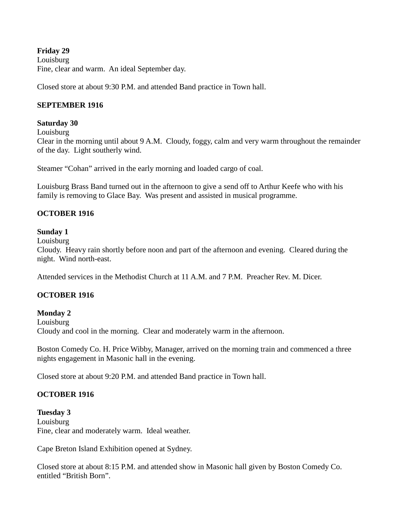**Friday 29** Louisburg Fine, clear and warm. An ideal September day.

Closed store at about 9:30 P.M. and attended Band practice in Town hall.

# **SEPTEMBER 1916**

## **Saturday 30**

Louisburg

Clear in the morning until about 9 A.M. Cloudy, foggy, calm and very warm throughout the remainder of the day. Light southerly wind.

Steamer "Cohan" arrived in the early morning and loaded cargo of coal.

Louisburg Brass Band turned out in the afternoon to give a send off to Arthur Keefe who with his family is removing to Glace Bay. Was present and assisted in musical programme.

## **OCTOBER 1916**

## **Sunday 1**

**Louisburg** 

Cloudy. Heavy rain shortly before noon and part of the afternoon and evening. Cleared during the night. Wind north-east.

Attended services in the Methodist Church at 11 A.M. and 7 P.M. Preacher Rev. M. Dicer.

## **OCTOBER 1916**

## **Monday 2**

Louisburg Cloudy and cool in the morning. Clear and moderately warm in the afternoon.

Boston Comedy Co. H. Price Wibby, Manager, arrived on the morning train and commenced a three nights engagement in Masonic hall in the evening.

Closed store at about 9:20 P.M. and attended Band practice in Town hall.

## **OCTOBER 1916**

**Tuesday 3 Louisburg** Fine, clear and moderately warm. Ideal weather.

Cape Breton Island Exhibition opened at Sydney.

Closed store at about 8:15 P.M. and attended show in Masonic hall given by Boston Comedy Co. entitled "British Born".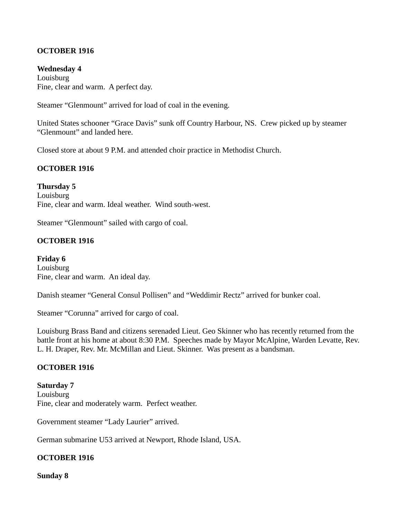## **OCTOBER 1916**

#### **Wednesday 4**

**Louisburg** Fine, clear and warm. A perfect day.

Steamer "Glenmount" arrived for load of coal in the evening.

United States schooner "Grace Davis" sunk off Country Harbour, NS. Crew picked up by steamer "Glenmount" and landed here.

Closed store at about 9 P.M. and attended choir practice in Methodist Church.

## **OCTOBER 1916**

**Thursday 5 Louisburg** Fine, clear and warm. Ideal weather. Wind south-west.

Steamer "Glenmount" sailed with cargo of coal.

#### **OCTOBER 1916**

**Friday 6** Louisburg Fine, clear and warm. An ideal day.

Danish steamer "General Consul Pollisen" and "Weddimir Rectz" arrived for bunker coal.

Steamer "Corunna" arrived for cargo of coal.

Louisburg Brass Band and citizens serenaded Lieut. Geo Skinner who has recently returned from the battle front at his home at about 8:30 P.M. Speeches made by Mayor McAlpine, Warden Levatte, Rev. L. H. Draper, Rev. Mr. McMillan and Lieut. Skinner. Was present as a bandsman.

#### **OCTOBER 1916**

**Saturday 7 Louisburg** Fine, clear and moderately warm. Perfect weather.

Government steamer "Lady Laurier" arrived.

German submarine U53 arrived at Newport, Rhode Island, USA.

## **OCTOBER 1916**

**Sunday 8**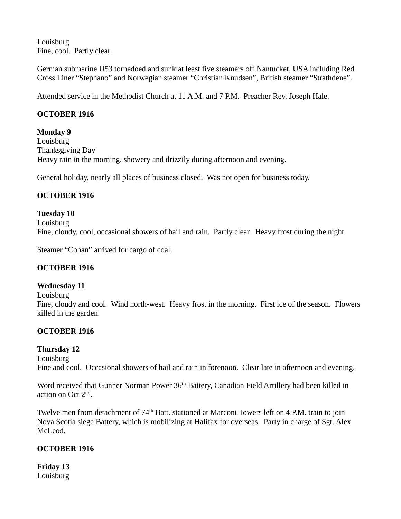Louisburg Fine, cool. Partly clear.

German submarine U53 torpedoed and sunk at least five steamers off Nantucket, USA including Red Cross Liner "Stephano" and Norwegian steamer "Christian Knudsen", British steamer "Strathdene".

Attended service in the Methodist Church at 11 A.M. and 7 P.M. Preacher Rev. Joseph Hale.

# **OCTOBER 1916**

## **Monday 9**

Louisburg Thanksgiving Day Heavy rain in the morning, showery and drizzily during afternoon and evening.

General holiday, nearly all places of business closed. Was not open for business today.

# **OCTOBER 1916**

## **Tuesday 10** Louisburg Fine, cloudy, cool, occasional showers of hail and rain. Partly clear. Heavy frost during the night.

Steamer "Cohan" arrived for cargo of coal.

## **OCTOBER 1916**

## **Wednesday 11**

Louisburg

Fine, cloudy and cool. Wind north-west. Heavy frost in the morning. First ice of the season. Flowers killed in the garden.

# **OCTOBER 1916**

## **Thursday 12**

Louisburg Fine and cool. Occasional showers of hail and rain in forenoon. Clear late in afternoon and evening.

Word received that Gunner Norman Power 36<sup>th</sup> Battery, Canadian Field Artillery had been killed in action on Oct 2nd .

Twelve men from detachment of 74<sup>th</sup> Batt. stationed at Marconi Towers left on 4 P.M. train to join Nova Scotia siege Battery, which is mobilizing at Halifax for overseas. Party in charge of Sgt. Alex McLeod.

# **OCTOBER 1916**

**Friday 13** Louisburg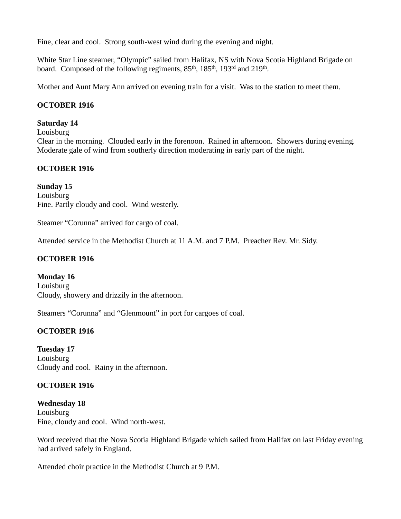Fine, clear and cool. Strong south-west wind during the evening and night.

White Star Line steamer, "Olympic" sailed from Halifax, NS with Nova Scotia Highland Brigade on board. Composed of the following regiments, 85<sup>th</sup>, 185<sup>th</sup>, 193<sup>rd</sup> and 219<sup>th</sup>.

Mother and Aunt Mary Ann arrived on evening train for a visit. Was to the station to meet them.

# **OCTOBER 1916**

## **Saturday 14**

Louisburg

Clear in the morning. Clouded early in the forenoon. Rained in afternoon. Showers during evening. Moderate gale of wind from southerly direction moderating in early part of the night.

## **OCTOBER 1916**

**Sunday 15 Louisburg** Fine. Partly cloudy and cool. Wind westerly.

Steamer "Corunna" arrived for cargo of coal.

Attended service in the Methodist Church at 11 A.M. and 7 P.M. Preacher Rev. Mr. Sidy.

### **OCTOBER 1916**

**Monday 16** Louisburg Cloudy, showery and drizzily in the afternoon.

Steamers "Corunna" and "Glenmount" in port for cargoes of coal.

## **OCTOBER 1916**

**Tuesday 17** Louisburg Cloudy and cool. Rainy in the afternoon.

## **OCTOBER 1916**

**Wednesday 18** Louisburg Fine, cloudy and cool. Wind north-west.

Word received that the Nova Scotia Highland Brigade which sailed from Halifax on last Friday evening had arrived safely in England.

Attended choir practice in the Methodist Church at 9 P.M.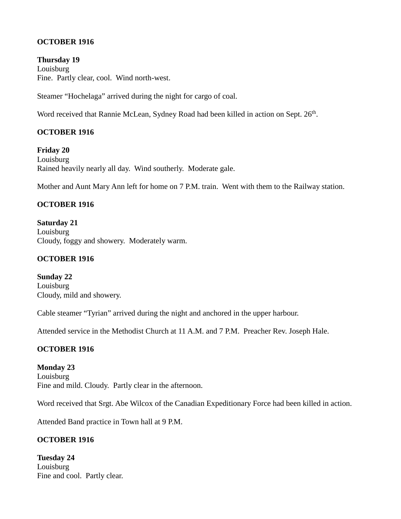## **OCTOBER 1916**

**Thursday 19** Louisburg Fine. Partly clear, cool. Wind north-west.

Steamer "Hochelaga" arrived during the night for cargo of coal.

Word received that Rannie McLean, Sydney Road had been killed in action on Sept. 26<sup>th</sup>.

# **OCTOBER 1916**

**Friday 20** Louisburg Rained heavily nearly all day. Wind southerly. Moderate gale.

Mother and Aunt Mary Ann left for home on 7 P.M. train. Went with them to the Railway station.

## **OCTOBER 1916**

**Saturday 21** Louisburg Cloudy, foggy and showery. Moderately warm.

# **OCTOBER 1916**

**Sunday 22 Louisburg** Cloudy, mild and showery.

Cable steamer "Tyrian" arrived during the night and anchored in the upper harbour.

Attended service in the Methodist Church at 11 A.M. and 7 P.M. Preacher Rev. Joseph Hale.

# **OCTOBER 1916**

**Monday 23** Louisburg Fine and mild. Cloudy. Partly clear in the afternoon.

Word received that Srgt. Abe Wilcox of the Canadian Expeditionary Force had been killed in action.

Attended Band practice in Town hall at 9 P.M.

# **OCTOBER 1916**

**Tuesday 24 Louisburg** Fine and cool. Partly clear.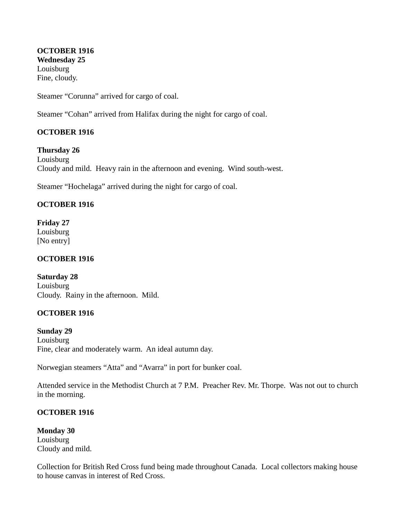**OCTOBER 1916 Wednesday 25** Louisburg Fine, cloudy.

Steamer "Corunna" arrived for cargo of coal.

Steamer "Cohan" arrived from Halifax during the night for cargo of coal.

## **OCTOBER 1916**

**Thursday 26**

Louisburg Cloudy and mild. Heavy rain in the afternoon and evening. Wind south-west.

Steamer "Hochelaga" arrived during the night for cargo of coal.

## **OCTOBER 1916**

**Friday 27** Louisburg [No entry]

## **OCTOBER 1916**

**Saturday 28 Louisburg** Cloudy. Rainy in the afternoon. Mild.

## **OCTOBER 1916**

**Sunday 29** Louisburg Fine, clear and moderately warm. An ideal autumn day.

Norwegian steamers "Atta" and "Avarra" in port for bunker coal.

Attended service in the Methodist Church at 7 P.M. Preacher Rev. Mr. Thorpe. Was not out to church in the morning.

## **OCTOBER 1916**

**Monday 30** Louisburg Cloudy and mild.

Collection for British Red Cross fund being made throughout Canada. Local collectors making house to house canvas in interest of Red Cross.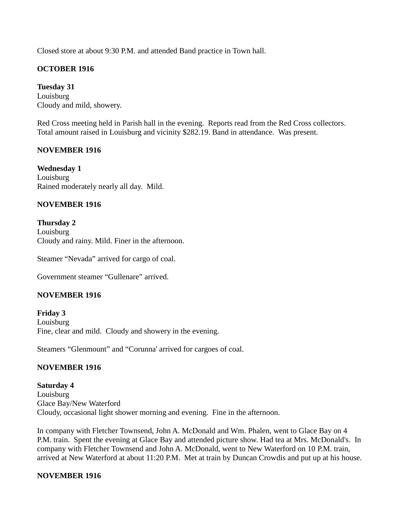Closed store at about 9:30 P.M. and attended Band practice in Town hall.

## **OCTOBER 1916**

**Tuesday 31** Louisburg Cloudy and mild, showery.

Red Cross meeting held in Parish hall in the evening. Reports read from the Red Cross collectors. Total amount raised in Louisburg and vicinity \$282.19. Band in attendance. Was present.

## **NOVEMBER 1916**

**Wednesday 1** Louisburg Rained moderately nearly all day. Mild.

## **NOVEMBER 1916**

**Thursday 2** Louisburg Cloudy and rainy. Mild. Finer in the afternoon.

Steamer "Nevada" arrived for cargo of coal.

Government steamer "Gullenare" arrived.

#### **NOVEMBER 1916**

**Friday 3** Louisburg Fine, clear and mild. Cloudy and showery in the evening.

Steamers "Glenmount" and "Corunna' arrived for cargoes of coal.

## **NOVEMBER 1916**

**Saturday 4 Louisburg** Glace Bay/New Waterford Cloudy, occasional light shower morning and evening. Fine in the afternoon.

In company with Fletcher Townsend, John A. McDonald and Wm. Phalen, went to Glace Bay on 4 P.M. train. Spent the evening at Glace Bay and attended picture show. Had tea at Mrs. McDonald's. In company with Fletcher Townsend and John A. McDonald, went to New Waterford on 10 P.M. train, arrived at New Waterford at about 11:20 P.M. Met at train by Duncan Crowdis and put up at his house.

#### **NOVEMBER 1916**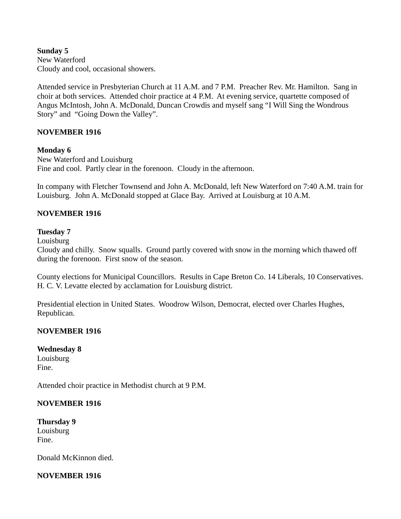**Sunday 5** New Waterford Cloudy and cool, occasional showers.

Attended service in Presbyterian Church at 11 A.M. and 7 P.M. Preacher Rev. Mr. Hamilton. Sang in choir at both services. Attended choir practice at 4 P.M. At evening service, quartette composed of Angus McIntosh, John A. McDonald, Duncan Crowdis and myself sang "I Will Sing the Wondrous Story" and "Going Down the Valley".

## **NOVEMBER 1916**

## **Monday 6**

New Waterford and Louisburg Fine and cool. Partly clear in the forenoon. Cloudy in the afternoon.

In company with Fletcher Townsend and John A. McDonald, left New Waterford on 7:40 A.M. train for Louisburg. John A. McDonald stopped at Glace Bay. Arrived at Louisburg at 10 A.M.

## **NOVEMBER 1916**

#### **Tuesday 7**

Louisburg

Cloudy and chilly. Snow squalls. Ground partly covered with snow in the morning which thawed off during the forenoon. First snow of the season.

County elections for Municipal Councillors. Results in Cape Breton Co. 14 Liberals, 10 Conservatives. H. C. V. Levatte elected by acclamation for Louisburg district.

Presidential election in United States. Woodrow Wilson, Democrat, elected over Charles Hughes, Republican.

#### **NOVEMBER 1916**

#### **Wednesday 8** Louisburg Fine.

Attended choir practice in Methodist church at 9 P.M.

#### **NOVEMBER 1916**

**Thursday 9** Louisburg Fine.

Donald McKinnon died.

## **NOVEMBER 1916**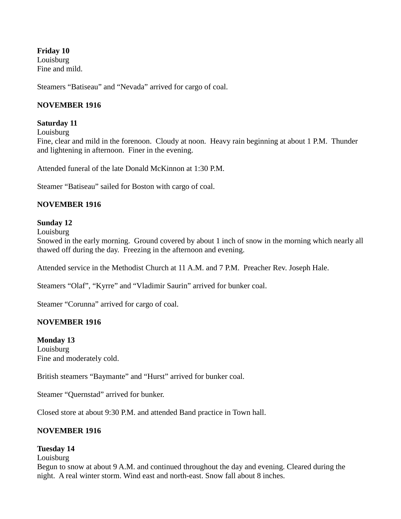**Friday 10** Louisburg Fine and mild.

Steamers "Batiseau" and "Nevada" arrived for cargo of coal.

## **NOVEMBER 1916**

#### **Saturday 11**

Louisburg

Fine, clear and mild in the forenoon. Cloudy at noon. Heavy rain beginning at about 1 P.M. Thunder and lightening in afternoon. Finer in the evening.

Attended funeral of the late Donald McKinnon at 1:30 P.M.

Steamer "Batiseau" sailed for Boston with cargo of coal.

#### **NOVEMBER 1916**

#### **Sunday 12**

Louisburg

Snowed in the early morning. Ground covered by about 1 inch of snow in the morning which nearly all thawed off during the day. Freezing in the afternoon and evening.

Attended service in the Methodist Church at 11 A.M. and 7 P.M. Preacher Rev. Joseph Hale.

Steamers "Olaf", "Kyrre" and "Vladimir Saurin" arrived for bunker coal.

Steamer "Corunna" arrived for cargo of coal.

#### **NOVEMBER 1916**

**Monday 13 Louisburg** Fine and moderately cold.

British steamers "Baymante" and "Hurst" arrived for bunker coal.

Steamer "Quernstad" arrived for bunker.

Closed store at about 9:30 P.M. and attended Band practice in Town hall.

#### **NOVEMBER 1916**

#### **Tuesday 14**

**Louisburg** 

Begun to snow at about 9 A.M. and continued throughout the day and evening. Cleared during the night. A real winter storm. Wind east and north-east. Snow fall about 8 inches.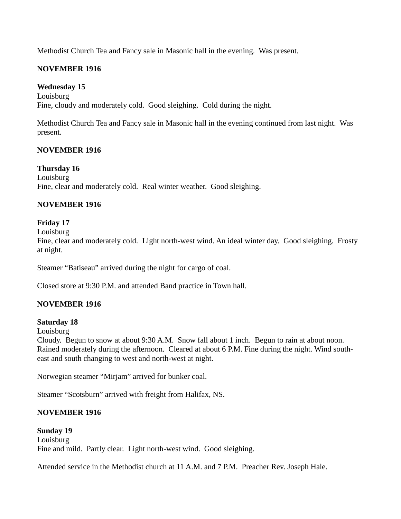Methodist Church Tea and Fancy sale in Masonic hall in the evening. Was present.

# **NOVEMBER 1916**

**Wednesday 15** Louisburg Fine, cloudy and moderately cold. Good sleighing. Cold during the night.

Methodist Church Tea and Fancy sale in Masonic hall in the evening continued from last night. Was present.

# **NOVEMBER 1916**

## **Thursday 16**

Louisburg Fine, clear and moderately cold. Real winter weather. Good sleighing.

# **NOVEMBER 1916**

# **Friday 17**

Louisburg

Fine, clear and moderately cold. Light north-west wind. An ideal winter day. Good sleighing. Frosty at night.

Steamer "Batiseau" arrived during the night for cargo of coal.

Closed store at 9:30 P.M. and attended Band practice in Town hall.

## **NOVEMBER 1916**

## **Saturday 18**

Louisburg

Cloudy. Begun to snow at about 9:30 A.M. Snow fall about 1 inch. Begun to rain at about noon. Rained moderately during the afternoon. Cleared at about 6 P.M. Fine during the night. Wind southeast and south changing to west and north-west at night.

Norwegian steamer "Mirjam" arrived for bunker coal.

Steamer "Scotsburn" arrived with freight from Halifax, NS.

# **NOVEMBER 1916**

**Sunday 19 Louisburg** Fine and mild. Partly clear. Light north-west wind. Good sleighing.

Attended service in the Methodist church at 11 A.M. and 7 P.M. Preacher Rev. Joseph Hale.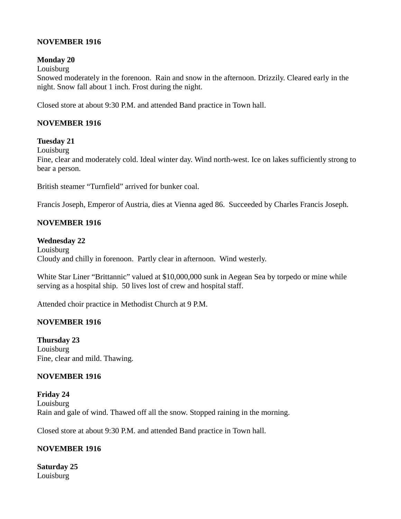### **NOVEMBER 1916**

### **Monday 20**

Louisburg

Snowed moderately in the forenoon. Rain and snow in the afternoon. Drizzily. Cleared early in the night. Snow fall about 1 inch. Frost during the night.

Closed store at about 9:30 P.M. and attended Band practice in Town hall.

# **NOVEMBER 1916**

# **Tuesday 21**

**Louisburg** 

Fine, clear and moderately cold. Ideal winter day. Wind north-west. Ice on lakes sufficiently strong to bear a person.

British steamer "Turnfield" arrived for bunker coal.

Francis Joseph, Emperor of Austria, dies at Vienna aged 86. Succeeded by Charles Francis Joseph.

### **NOVEMBER 1916**

#### **Wednesday 22**

Louisburg Cloudy and chilly in forenoon. Partly clear in afternoon. Wind westerly.

White Star Liner "Brittannic" valued at \$10,000,000 sunk in Aegean Sea by torpedo or mine while serving as a hospital ship. 50 lives lost of crew and hospital staff.

Attended choir practice in Methodist Church at 9 P.M.

### **NOVEMBER 1916**

**Thursday 23** Louisburg Fine, clear and mild. Thawing.

### **NOVEMBER 1916**

**Friday 24** Louisburg Rain and gale of wind. Thawed off all the snow. Stopped raining in the morning.

Closed store at about 9:30 P.M. and attended Band practice in Town hall.

# **NOVEMBER 1916**

**Saturday 25** Louisburg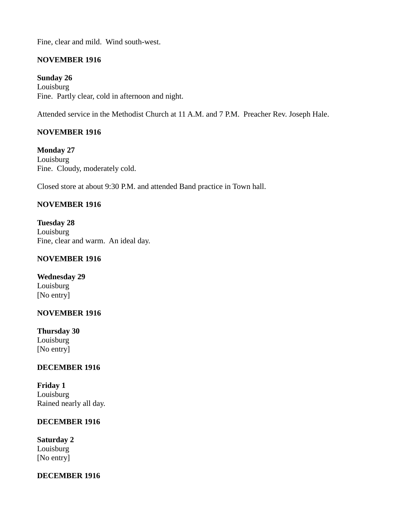Fine, clear and mild. Wind south-west.

# **NOVEMBER 1916**

**Sunday 26** Louisburg Fine. Partly clear, cold in afternoon and night.

Attended service in the Methodist Church at 11 A.M. and 7 P.M. Preacher Rev. Joseph Hale.

# **NOVEMBER 1916**

**Monday 27** Louisburg Fine. Cloudy, moderately cold.

Closed store at about 9:30 P.M. and attended Band practice in Town hall.

### **NOVEMBER 1916**

**Tuesday 28** Louisburg Fine, clear and warm. An ideal day.

### **NOVEMBER 1916**

**Wednesday 29** Louisburg [No entry]

### **NOVEMBER 1916**

**Thursday 30** Louisburg [No entry]

### **DECEMBER 1916**

**Friday 1** Louisburg Rained nearly all day.

### **DECEMBER 1916**

**Saturday 2** Louisburg [No entry]

### **DECEMBER 1916**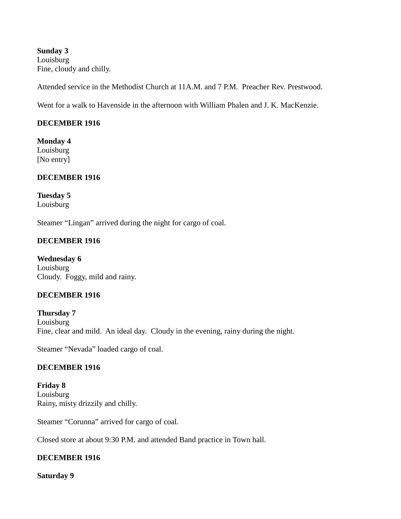**Sunday 3** Louisburg Fine, cloudy and chilly.

Attended service in the Methodist Church at 11A.M. and 7 P.M. Preacher Rev. Prestwood.

Went for a walk to Havenside in the afternoon with William Phalen and J. K. MacKenzie.

#### **DECEMBER 1916**

**Monday 4** Louisburg

[No entry]

#### **DECEMBER 1916**

**Tuesday 5** Louisburg

Steamer "Lingan" arrived during the night for cargo of coal.

#### **DECEMBER 1916**

**Wednesday 6** Louisburg Cloudy. Foggy, mild and rainy.

#### **DECEMBER 1916**

**Thursday 7** Louisburg Fine, clear and mild. An ideal day. Cloudy in the evening, rainy during the night.

Steamer "Nevada" loaded cargo of coal.

### **DECEMBER 1916**

**Friday 8** Louisburg Rainy, misty drizzily and chilly.

Steamer "Corunna" arrived for cargo of coal.

Closed store at about 9:30 P.M. and attended Band practice in Town hall.

### **DECEMBER 1916**

**Saturday 9**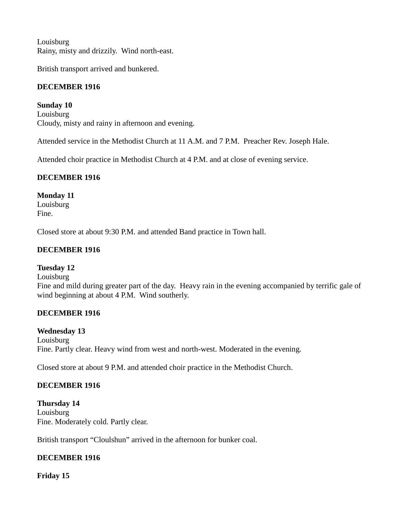**Louisburg** Rainy, misty and drizzily. Wind north-east.

British transport arrived and bunkered.

# **DECEMBER 1916**

**Sunday 10** Louisburg Cloudy, misty and rainy in afternoon and evening.

Attended service in the Methodist Church at 11 A.M. and 7 P.M. Preacher Rev. Joseph Hale.

Attended choir practice in Methodist Church at 4 P.M. and at close of evening service.

# **DECEMBER 1916**

### **Monday 11**

Louisburg Fine.

Closed store at about 9:30 P.M. and attended Band practice in Town hall.

# **DECEMBER 1916**

### **Tuesday 12**

Louisburg

Fine and mild during greater part of the day. Heavy rain in the evening accompanied by terrific gale of wind beginning at about 4 P.M. Wind southerly.

### **DECEMBER 1916**

### **Wednesday 13**

Louisburg Fine. Partly clear. Heavy wind from west and north-west. Moderated in the evening.

Closed store at about 9 P.M. and attended choir practice in the Methodist Church.

# **DECEMBER 1916**

**Thursday 14** Louisburg Fine. Moderately cold. Partly clear.

British transport "Cloulshun" arrived in the afternoon for bunker coal.

# **DECEMBER 1916**

**Friday 15**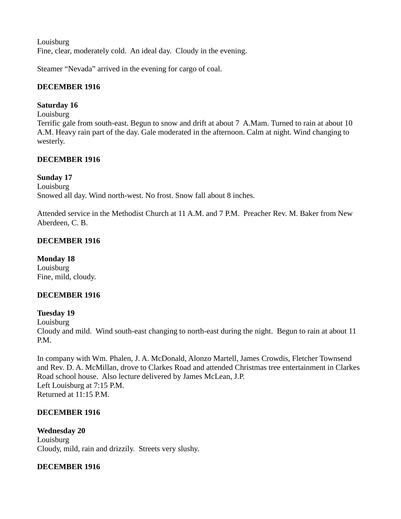**Louisburg** Fine, clear, moderately cold. An ideal day. Cloudy in the evening.

Steamer "Nevada" arrived in the evening for cargo of coal.

### **DECEMBER 1916**

### **Saturday 16**

Louisburg

Terrific gale from south-east. Begun to snow and drift at about 7 A.Mam. Turned to rain at about 10 A.M. Heavy rain part of the day. Gale moderated in the afternoon. Calm at night. Wind changing to westerly.

### **DECEMBER 1916**

### **Sunday 17**

Louisburg Snowed all day. Wind north-west. No frost. Snow fall about 8 inches.

Attended service in the Methodist Church at 11 A.M. and 7 P.M. Preacher Rev. M. Baker from New Aberdeen, C. B.

### **DECEMBER 1916**

**Monday 18** Louisburg Fine, mild, cloudy.

### **DECEMBER 1916**

### **Tuesday 19**

Louisburg

Cloudy and mild. Wind south-east changing to north-east during the night. Begun to rain at about 11 P.M.

In company with Wm. Phalen, J. A. McDonald, Alonzo Martell, James Crowdis, Fletcher Townsend and Rev. D. A. McMillan, drove to Clarkes Road and attended Christmas tree entertainment in Clarkes Road school house. Also lecture delivered by James McLean, J.P. Left Louisburg at 7:15 P.M. Returned at 11:15 P.M.

### **DECEMBER 1916**

**Wednesday 20 Louisburg** Cloudy, mild, rain and drizzily. Streets very slushy.

### **DECEMBER 1916**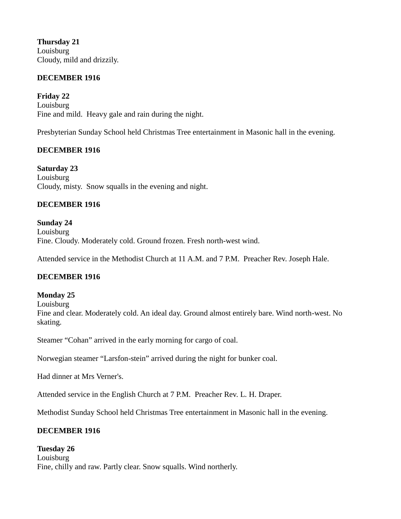**Thursday 21** Louisburg Cloudy, mild and drizzily.

#### **DECEMBER 1916**

**Friday 22** Louisburg Fine and mild. Heavy gale and rain during the night.

Presbyterian Sunday School held Christmas Tree entertainment in Masonic hall in the evening.

### **DECEMBER 1916**

**Saturday 23** Louisburg Cloudy, misty. Snow squalls in the evening and night.

#### **DECEMBER 1916**

### **Sunday 24**

Louisburg Fine. Cloudy. Moderately cold. Ground frozen. Fresh north-west wind.

Attended service in the Methodist Church at 11 A.M. and 7 P.M. Preacher Rev. Joseph Hale.

### **DECEMBER 1916**

#### **Monday 25**

**Louisburg** 

Fine and clear. Moderately cold. An ideal day. Ground almost entirely bare. Wind north-west. No skating.

Steamer "Cohan" arrived in the early morning for cargo of coal.

Norwegian steamer "Larsfon-stein" arrived during the night for bunker coal.

Had dinner at Mrs Verner's.

Attended service in the English Church at 7 P.M. Preacher Rev. L. H. Draper.

Methodist Sunday School held Christmas Tree entertainment in Masonic hall in the evening.

### **DECEMBER 1916**

#### **Tuesday 26**

Louisburg Fine, chilly and raw. Partly clear. Snow squalls. Wind northerly.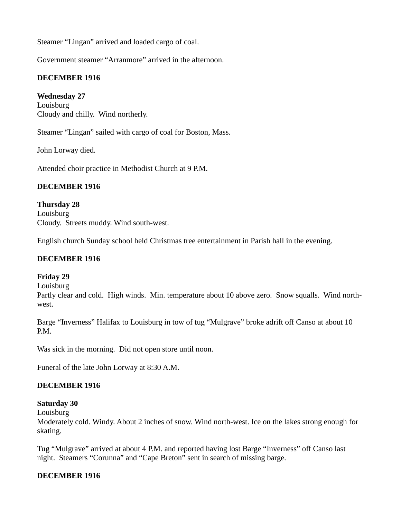Steamer "Lingan" arrived and loaded cargo of coal.

Government steamer "Arranmore" arrived in the afternoon.

#### **DECEMBER 1916**

#### **Wednesday 27**

**Louisburg** Cloudy and chilly. Wind northerly.

Steamer "Lingan" sailed with cargo of coal for Boston, Mass.

John Lorway died.

Attended choir practice in Methodist Church at 9 P.M.

#### **DECEMBER 1916**

#### **Thursday 28 Louisburg** Cloudy. Streets muddy. Wind south-west.

English church Sunday school held Christmas tree entertainment in Parish hall in the evening.

#### **DECEMBER 1916**

#### **Friday 29**

Louisburg

Partly clear and cold. High winds. Min. temperature about 10 above zero. Snow squalls. Wind northwest.

Barge "Inverness" Halifax to Louisburg in tow of tug "Mulgrave" broke adrift off Canso at about 10 P.M.

Was sick in the morning. Did not open store until noon.

Funeral of the late John Lorway at 8:30 A.M.

### **DECEMBER 1916**

#### **Saturday 30**

**Louisburg** 

Moderately cold. Windy. About 2 inches of snow. Wind north-west. Ice on the lakes strong enough for skating.

Tug "Mulgrave" arrived at about 4 P.M. and reported having lost Barge "Inverness" off Canso last night. Steamers "Corunna" and "Cape Breton" sent in search of missing barge.

#### **DECEMBER 1916**